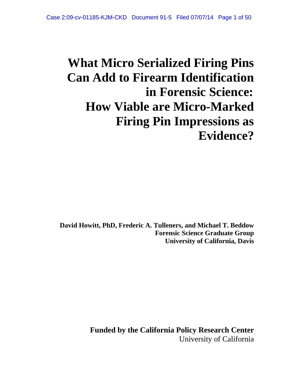# **What Micro Serialized Firing Pins Can Add to Firearm Identification in Forensic Science: How Viable are Micro-Marked Firing Pin Impressions as Evidence?**

**David Howitt, PhD, Frederic A. Tulleners, and Michael T. Beddow Forensic Science Graduate Group University of California, Davis** 

> **Funded by the California Policy Research Center**  University of California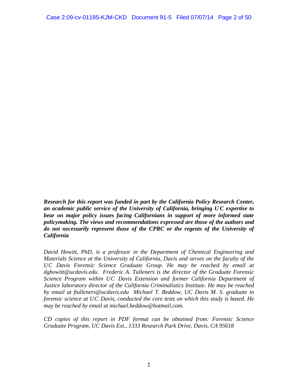*Research for this report was funded in part by the California Policy Research Center, an academic public service of the University of California, bringing U C expertise to bear on major policy issues facing Californians in support of more informed state policymaking. The views and recommendations expressed are those of the authors and do not necessarily represent those of the CPRC or the regents of the University of California* 

*David Howitt, PhD, is a professor in the Department of Chemical Engineering and Materials Science at the University of California, Davis and serves on the faculty of the UC Davis Forensic Science Graduate Group. He may be reached by email at dghowitt@ucdavis.edu. Frederic A. Tulleners is the director of the Graduate Forensic Science Program within UC Davis Extension and former California Department of Justice laboratory director of the California Criminalistics Institute. He may be reached by email at ftulleners@ucdavis.edu Michael T. Beddow, UC Davis M. S. graduate in forensic science at UC Davis, conducted the core tests on which this study is based. He may be reached by email at michael.beddow@hotmail.com.* 

*CD copies of this report in PDF format can be obtained from: Forensic Science Graduate Program, UC Davis Ext., 1333 Research Park Drive, Davis, CA 95618*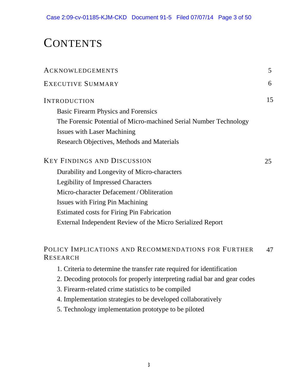## **CONTENTS**

| <b>ACKNOWLEDGEMENTS</b>                                           | 5  |
|-------------------------------------------------------------------|----|
| EXECUTIVE SUMMARY                                                 | 6  |
| <b>INTRODUCTION</b>                                               | 15 |
| <b>Basic Firearm Physics and Forensics</b>                        |    |
| The Forensic Potential of Micro-machined Serial Number Technology |    |
| <b>Issues with Laser Machining</b>                                |    |
| Research Objectives, Methods and Materials                        |    |
| <b>KEY FINDINGS AND DISCUSSION</b>                                | 25 |
| Durability and Longevity of Micro-characters                      |    |
| <b>Legibility of Impressed Characters</b>                         |    |
| Micro-character Defacement / Obliteration                         |    |
| <b>Issues with Firing Pin Machining</b>                           |    |
| <b>Estimated costs for Firing Pin Fabrication</b>                 |    |
| External Independent Review of the Micro Serialized Report        |    |
|                                                                   |    |
|                                                                   |    |

#### POLICY IMPLICATIONS AND RECOMMENDATIONS FOR FURTHER RESEARCH 47

- 1. Criteria to determine the transfer rate required for identification
- 2. Decoding protocols for properly interpreting radial bar and gear codes
- 3. Firearm-related crime statistics to be compiled
- 4. Implementation strategies to be developed collaboratively
- 5. Technology implementation prototype to be piloted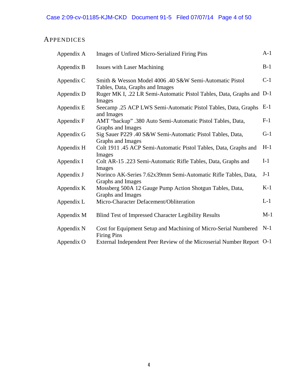### **APPENDICES**

| Appendix A | <b>Images of Unfired Micro-Serialized Firing Pins</b>                                                              | $A-1$ |
|------------|--------------------------------------------------------------------------------------------------------------------|-------|
| Appendix B | <b>Issues with Laser Machining</b>                                                                                 | $B-1$ |
| Appendix C | Smith & Wesson Model 4006 .40 S&W Semi-Automatic Pistol                                                            | $C-1$ |
| Appendix D | Tables, Data, Graphs and Images<br>Ruger MK I, .22 LR Semi-Automatic Pistol Tables, Data, Graphs and D-1<br>Images |       |
| Appendix E | Seecamp .25 ACP LWS Semi-Automatic Pistol Tables, Data, Graphs<br>and Images                                       | $E-1$ |
| Appendix F | AMT "backup" .380 Auto Semi-Automatic Pistol Tables, Data,                                                         | $F-1$ |
| Appendix G | Graphs and Images<br>Sig Sauer P229 .40 S&W Semi-Automatic Pistol Tables, Data,                                    | $G-1$ |
| Appendix H | Graphs and Images<br>Colt 1911 .45 ACP Semi-Automatic Pistol Tables, Data, Graphs and                              | $H-1$ |
| Appendix I | Images<br>Colt AR-15 .223 Semi-Automatic Rifle Tables, Data, Graphs and<br>Images                                  | $I-1$ |
| Appendix J | Norinco AK-Series 7.62x39mm Semi-Automatic Rifle Tables, Data,<br>Graphs and Images                                | $J-1$ |
| Appendix K | Mossberg 500A 12 Gauge Pump Action Shotgun Tables, Data,<br>Graphs and Images                                      | $K-1$ |
| Appendix L | Micro-Character Defacement/Obliteration                                                                            | $L-1$ |
| Appendix M | <b>Blind Test of Impressed Character Legibility Results</b>                                                        | $M-1$ |
| Appendix N | Cost for Equipment Setup and Machining of Micro-Serial Numbered<br><b>Firing Pins</b>                              | $N-1$ |
| Appendix O | External Independent Peer Review of the Microserial Number Report O-1                                              |       |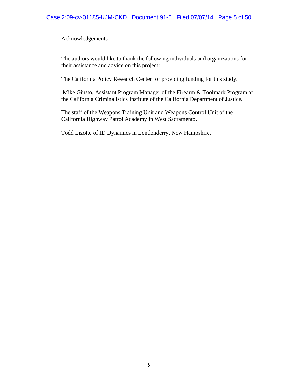Acknowledgements

The authors would like to thank the following individuals and organizations for their assistance and advice on this project:

The California Policy Research Center for providing funding for this study.

 Mike Giusto, Assistant Program Manager of the Firearm & Toolmark Program at the California Criminalistics Institute of the California Department of Justice.

The staff of the Weapons Training Unit and Weapons Control Unit of the California Highway Patrol Academy in West Sacramento.

Todd Lizotte of ID Dynamics in Londonderry, New Hampshire.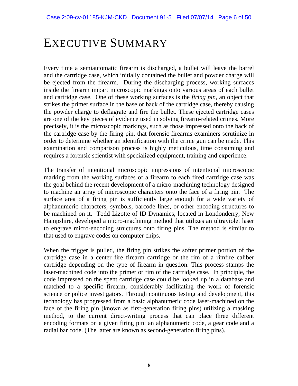## EXECUTIVE SUMMARY

Every time a semiautomatic firearm is discharged, a bullet will leave the barrel and the cartridge case, which initially contained the bullet and powder charge will be ejected from the firearm. During the discharging process, working surfaces inside the firearm impart microscopic markings onto various areas of each bullet and cartridge case. One of these working surfaces is the *firing pin*, an object that strikes the primer surface in the base or back of the cartridge case, thereby causing the powder charge to deflagrate and fire the bullet. These ejected cartridge cases are one of the key pieces of evidence used in solving firearm-related crimes. More precisely, it is the microscopic markings, such as those impressed onto the back of the cartridge case by the firing pin, that forensic firearms examiners scrutinize in order to determine whether an identification with the crime gun can be made. This examination and comparison process is highly meticulous, time consuming and requires a forensic scientist with specialized equipment, training and experience.

The transfer of intentional microscopic impressions of intentional microscopic marking from the working surfaces of a firearm to each fired cartridge case was the goal behind the recent development of a micro-machining technology designed to machine an array of microscopic characters onto the face of a firing pin. The surface area of a firing pin is sufficiently large enough for a wide variety of alphanumeric characters, symbols, barcode lines, or other encoding structures to be machined on it. Todd Lizotte of ID Dynamics, located in Londonderry, New Hampshire, developed a micro-machining method that utilizes an ultraviolet laser to engrave micro-encoding structures onto firing pins. The method is similar to that used to engrave codes on computer chips.

When the trigger is pulled, the firing pin strikes the softer primer portion of the cartridge case in a center fire firearm cartridge or the rim of a rimfire caliber cartridge depending on the type of firearm in question. This process stamps the laser-machined code into the primer or rim of the cartridge case. In principle, the code impressed on the spent cartridge case could be looked up in a database and matched to a specific firearm, considerably facilitating the work of forensic science or police investigators. Through continuous testing and development, this technology has progressed from a basic alphanumeric code laser-machined on the face of the firing pin (known as first-generation firing pins) utilizing a masking method, to the current direct-writing process that can place three different encoding formats on a given firing pin: an alphanumeric code, a gear code and a radial bar code. (The latter are known as second-generation firing pins).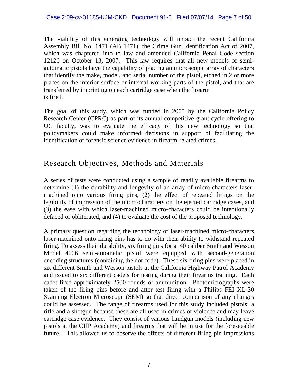The viability of this emerging technology will impact the recent California Assembly Bill No. 1471 (AB 1471), the Crime Gun Identification Act of 2007, which was chaptered into to law and amended California Penal Code section 12126 on October 13, 2007. This law requires that all new models of semiautomatic pistols have the capability of placing an microscopic array of characters that identify the make, model, and serial number of the pistol, etched in 2 or more places on the interior surface or internal working parts of the pistol, and that are transferred by imprinting on each cartridge case when the firearm is fired.

The goal of this study, which was funded in 2005 by the California Policy Research Center (CPRC) as part of its annual competitive grant cycle offering to UC faculty, was to evaluate the efficacy of this new technology so that policymakers could make informed decisions in support of facilitating the identification of forensic science evidence in firearm-related crimes.

### Research Objectives, Methods and Materials

A series of tests were conducted using a sample of readily available firearms to determine (1) the durability and longevity of an array of micro-characters lasermachined onto various firing pins, (2) the effect of repeated firings on the legibility of impression of the micro-characters on the ejected cartridge cases, and (3) the ease with which laser-machined micro-characters could be intentionally defaced or obliterated, and (4) to evaluate the cost of the proposed technology.

A primary question regarding the technology of laser-machined micro-characters laser-machined onto firing pins has to do with their ability to withstand repeated firing. To assess their durability, six firing pins for a .40 caliber Smith and Wesson Model 4006 semi-automatic pistol were equipped with second-generation encoding structures (containing the dot code). These six firing pins were placed in six different Smith and Wesson pistols at the California Highway Patrol Academy and issued to six different cadets for testing during their firearms training. Each cadet fired approximately 2500 rounds of ammunition. Photomicrographs were taken of the firing pins before and after test firing with a Philips FEI XL-30 Scanning Electron Microscope (SEM) so that direct comparison of any changes could be assessed. The range of firearms used for this study included pistols; a rifle and a shotgun because these are all used in crimes of violence and may leave cartridge case evidence. They consist of various handgun models (including new pistols at the CHP Academy) and firearms that will be in use for the foreseeable future. This allowed us to observe the effects of different firing pin impressions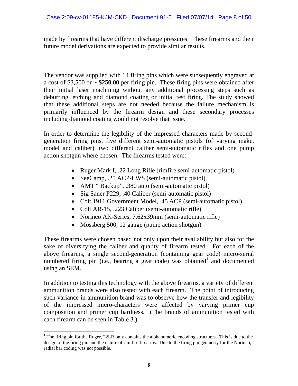made by firearms that have different discharge pressures. These firearms and their future model derivations are expected to provide similar results.

The vendor was supplied with 14 firing pins which were subsequently engraved at a cost of \$3,500 or ~ **\$250.00** per firing pin. These firing pins were obtained after their initial laser machining without any additional processing steps such as deburring, etching and diamond coating or initial test firing. The study showed that these additional steps are not needed because the failure mechanism is primarily influenced by the firearm design and these secondary processes including diamond coating would not resolve that issue.

In order to determine the legibility of the impressed characters made by secondgeneration firing pins, five different semi-automatic pistols (of varying make, model and caliber), two different caliber semi-automatic rifles and one pump action shotgun where chosen. The firearms tested were:

- Ruger Mark I, .22 Long Rifle (rimfire semi-automatic pistol)
- SeeCamp, .25 ACP-LWS (semi-automatic pistol)
- AMT "Backup", .380 auto (semi-automatic pistol)
- Sig Sauer P229, .40 Caliber (semi-automatic pistol)
- Colt 1911 Government Model, .45 ACP (semi-automatic pistol)
- Colt AR-15, .223 Caliber (semi-automatic rifle)
- Norinco AK-Series, 7.62x39mm (semi-automatic rifle)
- Mossberg 500, 12 gauge (pump action shotgun)

These firearms were chosen based not only upon their availability but also for the sake of diversifying the caliber and quality of firearm tested. For each of the above firearms, a single second-generation (containing gear code) micro-serial numbered firing pin (i.e., bearing a gear code) was obtained and documented using an SEM.

In addition to testing this technology with the above firearms, a variety of different ammunition brands were also tested with each firearm. The point of introducing such variance in ammunition brand was to observe how the transfer and legibility of the impressed micro-characters were affected by varying primer cup composition and primer cup hardness. (The brands of ammunition tested with each firearm can be seen in Table 3.)

 $\overline{a}$  $1$  The firing pin for the Ruger, 22LR only contains the alphanumeric encoding structures. This is due to the design of the firing pin and the nature of rim fire firearms. Due to the firing pin geometry for the Norinco, radial bar coding was not possible.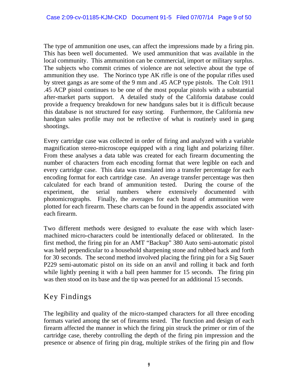The type of ammunition one uses, can affect the impressions made by a firing pin. This has been well documented. We used ammunition that was available in the local community. This ammunition can be commercial, import or military surplus. The subjects who commit crimes of violence are not selective about the type of ammunition they use. The Norinco type AK rifle is one of the popular rifles used by street gangs as are some of the 9 mm and .45 ACP type pistols. The Colt 1911 .45 ACP pistol continues to be one of the most popular pistols with a substantial after-market parts support. A detailed study of the California database could provide a frequency breakdown for new handguns sales but it is difficult because this database is not structured for easy sorting. Furthermore, the California new handgun sales profile may not be reflective of what is routinely used in gang shootings.

Every cartridge case was collected in order of firing and analyzed with a variable magnification stereo-microscope equipped with a ring light and polarizing filter. From these analyses a data table was created for each firearm documenting the number of characters from each encoding format that were legible on each and every cartridge case. This data was translated into a transfer percentage for each encoding format for each cartridge case. An average transfer percentage was then calculated for each brand of ammunition tested. During the course of the experiment, the serial numbers where extensively documented with photomicrographs. Finally, the averages for each brand of ammunition were plotted for each firearm. These charts can be found in the appendix associated with each firearm.

Two different methods were designed to evaluate the ease with which lasermachined micro-characters could be intentionally defaced or obliterated. In the first method, the firing pin for an AMT "Backup" 380 Auto semi-automatic pistol was held perpendicular to a household sharpening stone and rubbed back and forth for 30 seconds. The second method involved placing the firing pin for a Sig Sauer P229 semi-automatic pistol on its side on an anvil and rolling it back and forth while lightly peening it with a ball peen hammer for 15 seconds. The firing pin was then stood on its base and the tip was peened for an additional 15 seconds.

### Key Findings

The legibility and quality of the micro-stamped characters for all three encoding formats varied among the set of firearms tested. The function and design of each firearm affected the manner in which the firing pin struck the primer or rim of the cartridge case, thereby controlling the depth of the firing pin impression and the presence or absence of firing pin drag, multiple strikes of the firing pin and flow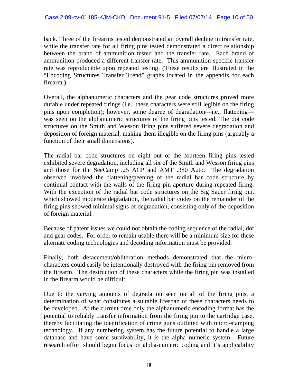back. Three of the firearms tested demonstrated an overall decline in transfer rate, while the transfer rate for all firing pins tested demonstrated a direct relationship between the brand of ammunition tested and the transfer rate. Each brand of ammunition produced a different transfer rate. This ammunition-specific transfer rate was reproducible upon repeated testing. (These results are illustrated in the "Encoding Structures Transfer Trend" graphs located in the appendix for each firearm.)

Overall, the alphanumeric characters and the gear code structures proved more durable under repeated firings (i.e., these characters were still legible on the firing pins upon completion); however, some degree of degradation—i.e., flattening was seen on the alphanumeric structures of the firing pins tested. The dot code structures on the Smith and Wesson firing pins suffered severe degradation and deposition of foreign material, making them illegible on the firing pins (arguably a function of their small dimensions).

The radial bar code structures on eight out of the fourteen firing pins tested exhibited severe degradation, including all six of the Smith and Wesson firing pins and those for the SeeCamp .25 ACP and AMT .380 Auto. The degradation observed involved the flattening/peening of the radial bar code structure by continual contact with the walls of the firing pin aperture during repeated firing. With the exception of the radial bar code structures on the Sig Sauer firing pin, which showed moderate degradation, the radial bar codes on the remainder of the firing pins showed minimal signs of degradation, consisting only of the deposition of foreign material.

Because of patent issues we could not obtain the coding sequence of the radial, dot and gear codes. For order to remain usable there will be a minimum size for these alternate coding technologies and decoding information must be provided.

Finally, both defacement/obliteration methods demonstrated that the microcharacters could easily be intentionally destroyed with the firing pin removed from the firearm. The destruction of these characters while the firing pin was installed in the firearm would be difficult.

Due to the varying amounts of degradation seen on all of the firing pins, a determination of what constitutes a suitable lifespan of these characters needs to be developed. At the current time only the alphanumeric encoding format has the potential to reliably transfer information from the firing pin to the cartridge case, thereby facilitating the identification of crime guns outfitted with micro-stamping technology. If any numbering system has the future potential to handle a large database and have some survivability, it is the alpha–numeric system. Future research effort should begin focus on alpha-numeric coding and it's applicability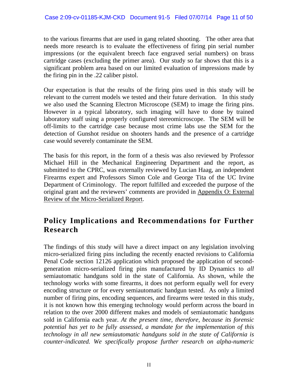to the various firearms that are used in gang related shooting. The other area that needs more research is to evaluate the effectiveness of firing pin serial number impressions (or the equivalent breech face engraved serial numbers) on brass cartridge cases (excluding the primer area). Our study so far shows that this is a significant problem area based on our limited evaluation of impressions made by the firing pin in the .22 caliber pistol.

Our expectation is that the results of the firing pins used in this study will be relevant to the current models we tested and their future derivation. In this study we also used the Scanning Electron Microscope (SEM) to image the firing pins. However in a typical laboratory, such imaging will have to done by trained laboratory staff using a properly configured stereomicroscope. The SEM will be off-limits to the cartridge case because most crime labs use the SEM for the detection of Gunshot residue on shooters hands and the presence of a cartridge case would severely contaminate the SEM.

The basis for this report, in the form of a thesis was also reviewed by Professor Michael Hill in the Mechanical Engineering Department and the report, as submitted to the CPRC, was externally reviewed by Lucian Haag, an independent Firearms expert and Professors Simon Cole and George Tita of the UC Irvine Department of Criminology. The report fulfilled and exceeded the purpose of the original grant and the reviewers' comments are provided in Appendix O: External Review of the Micro-Serialized Report.

## **Policy Implications and Recommendations for Further Research**

The findings of this study will have a direct impact on any legislation involving micro-serialized firing pins including the recently enacted revisions to California Penal Code section 12126 application which proposed the application of secondgeneration micro-serialized firing pins manufactured by ID Dynamics to *all* semiautomatic handguns sold in the state of California. As shown, while the technology works with some firearms, it does not perform equally well for every encoding structure or for every semiautomatic handgun tested. As only a limited number of firing pins, encoding sequences, and firearms were tested in this study, it is not known how this emerging technology would perform across the board in relation to the over 2000 different makes and models of semiautomatic handguns sold in California each year. *At the present time, therefore, because its forensic potential has yet to be fully assessed, a mandate for the implementation of this technology in all new semiautomatic handguns sold in the state of California is counter-indicated. We specifically propose further research on alpha-numeric*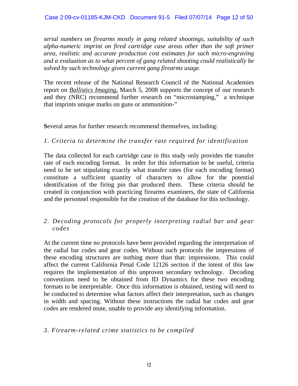*serial numbers on firearms mostly in gang related shootings, suitability of such alpha-numeric imprint on fired cartridge case areas other than the soft primer area, realistic and accurate production cost estimates for such micro-engraving and a evaluation as to what percent of gang related shooting could realistically be solved by such technology given current gang firearms usage.* 

The recent release of the National Research Council of the National Academies report on *Ballistics Imaging,* March 5, 2008 supports the concept of our research and they (NRC) recommend further research on "microstamping," a technique that imprints unique marks on guns or ammunition-"

**S**everal areas for further research recommend themselves, including:

#### *1. Criteria to determine the transfer rate required for identification*

The data collected for each cartridge case in this study only provides the transfer rate of each encoding format. In order for this information to be useful, criteria need to be set stipulating exactly what transfer rates (for each encoding format) constitute a sufficient quantity of characters to allow for the potential identification of the firing pin that produced them. These criteria should be created in conjunction with practicing firearms examiners, the state of California and the personnel responsible for the creation of the database for this technology.

#### *2. Decoding protocols for properly interpreting radial bar and gear codes*

At the current time no protocols have been provided regarding the interpretation of the radial bar codes and gear codes. Without such protocols the impressions of these encoding structures are nothing more than that: impressions. This could affect the current California Penal Code 12126 section if the intent of this law requires the implementation of this unproven secondary technology. Decoding conventions need to be obtained from ID Dynamics for these two encoding formats to be interpretable. Once this information is obtained, testing will need to be conducted to determine what factors affect their interpretation, such as changes in width and spacing. Without these instructions the radial bar codes and gear codes are rendered mute, unable to provide any identifying information.

#### *3. Firearm-related crime statistics to be compiled*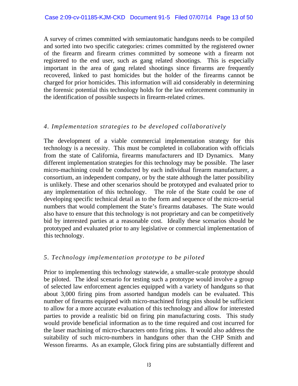A survey of crimes committed with semiautomatic handguns needs to be compiled and sorted into two specific categories: crimes committed by the registered owner of the firearm and firearm crimes committed by someone with a firearm not registered to the end user, such as gang related shootings. This is especially important in the area of gang related shootings since firearms are frequently recovered, linked to past homicides but the holder of the firearms cannot be charged for prior homicides. This information will aid considerably in determining the forensic potential this technology holds for the law enforcement community in the identification of possible suspects in firearm-related crimes.

#### *4. Implementation strategies to be developed collaboratively*

The development of a viable commercial implementation strategy for this technology is a necessity. This must be completed in collaboration with officials from the state of California, firearms manufacturers and ID Dynamics. Many different implementation strategies for this technology may be possible. The laser micro-machining could be conducted by each individual firearm manufacturer, a consortium, an independent company, or by the state although the latter possibility is unlikely. These and other scenarios should be prototyped and evaluated prior to any implementation of this technology. The role of the State could be one of developing specific technical detail as to the form and sequence of the micro-serial numbers that would complement the State's firearms databases. The State would also have to ensure that this technology is not proprietary and can be competitively bid by interested parties at a reasonable cost. Ideally these scenarios should be prototyped and evaluated prior to any legislative or commercial implementation of this technology.

#### *5. Technology implementation prototype to be piloted*

Prior to implementing this technology statewide, a smaller-scale prototype should be piloted. The ideal scenario for testing such a prototype would involve a group of selected law enforcement agencies equipped with a variety of handguns so that about 3,000 firing pins from assorted handgun models can be evaluated. This number of firearms equipped with micro-machined firing pins should be sufficient to allow for a more accurate evaluation of this technology and allow for interested parties to provide a realistic bid on firing pin manufacturing costs. This study would provide beneficial information as to the time required and cost incurred for the laser machining of micro-characters onto firing pins. It would also address the suitability of such micro-numbers in handguns other than the CHP Smith and Wesson firearms. As an example, Glock firing pins are substantially different and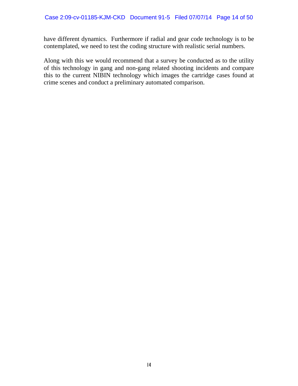have different dynamics. Furthermore if radial and gear code technology is to be contemplated, we need to test the coding structure with realistic serial numbers.

Along with this we would recommend that a survey be conducted as to the utility of this technology in gang and non-gang related shooting incidents and compare this to the current NIBIN technology which images the cartridge cases found at crime scenes and conduct a preliminary automated comparison.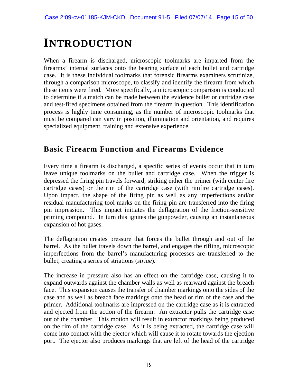## **INTRODUCTION**

When a firearm is discharged, microscopic toolmarks are imparted from the firearms' internal surfaces onto the bearing surface of each bullet and cartridge case. It is these individual toolmarks that forensic firearms examiners scrutinize, through a comparison microscope, to classify and identify the firearm from which these items were fired. More specifically, a microscopic comparison is conducted to determine if a match can be made between the evidence bullet or cartridge case and test-fired specimens obtained from the firearm in question. This identification process is highly time consuming, as the number of microscopic toolmarks that must be compared can vary in position, illumination and orientation, and requires specialized equipment, training and extensive experience.

## **Basic Firearm Function and Firearms Evidence**

Every time a firearm is discharged, a specific series of events occur that in turn leave unique toolmarks on the bullet and cartridge case. When the trigger is depressed the firing pin travels forward, striking either the primer (with center fire cartridge cases) or the rim of the cartridge case (with rimfire cartridge cases). Upon impact, the shape of the firing pin as well as any imperfections and/or residual manufacturing tool marks on the firing pin are transferred into the firing pin impression. This impact initiates the deflagration of the friction-sensitive priming compound. In turn this ignites the gunpowder, causing an instantaneous expansion of hot gases.

The deflagration creates pressure that forces the bullet through and out of the barrel. As the bullet travels down the barrel, and engages the rifling, microscopic imperfections from the barrel's manufacturing processes are transferred to the bullet, creating a series of striations (*striae*).

The increase in pressure also has an effect on the cartridge case, causing it to expand outwards against the chamber walls as well as rearward against the breach face. This expansion causes the transfer of chamber markings onto the sides of the case and as well as breach face markings onto the head or rim of the case and the primer. Additional toolmarks are impressed on the cartridge case as it is extracted and ejected from the action of the firearm. An extractor pulls the cartridge case out of the chamber. This motion will result in extractor markings being produced on the rim of the cartridge case. As it is being extracted, the cartridge case will come into contact with the ejector which will cause it to rotate towards the ejection port. The ejector also produces markings that are left of the head of the cartridge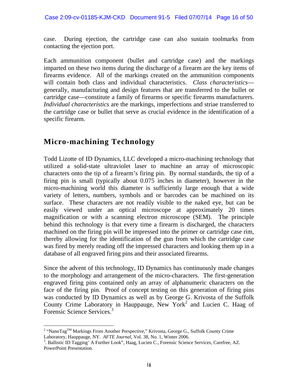case. During ejection, the cartridge case can also sustain toolmarks from contacting the ejection port.

Each ammunition component (bullet and cartridge case) and the markings imparted on these two items during the discharge of a firearm are the key items of firearms evidence. All of the markings created on the ammunition components will contain both class and individual characteristics. *Class characteristics* generally, manufacturing and design features that are transferred to the bullet or cartridge case—constitute a family of firearms or specific firearms manufacturers. *Individual characteristics* are the markings, imperfections and striae transferred to the cartridge case or bullet that serve as crucial evidence in the identification of a specific firearm.

## **Micro-machining Technology**

Todd Lizotte of ID Dynamics, LLC developed a micro-machining technology that utilized a solid-state ultraviolet laser to machine an array of microscopic characters onto the tip of a firearm's firing pin. By normal standards, the tip of a firing pin is small (typically about 0.075 inches in diameter), however in the micro-machining world this diameter is sufficiently large enough that a wide variety of letters, numbers, symbols and or barcodes can be machined on its surface. These characters are not readily visible to the naked eye, but can be easily viewed under an optical microscope at approximately 20 times magnification or with a scanning electron microscope (SEM). The principle behind this technology is that every time a firearm is discharged, the characters machined on the firing pin will be impressed into the primer or cartridge case rim, thereby allowing for the identification of the gun from which the cartridge case was fired by merely reading off the impressed characters and looking them up in a database of all engraved firing pins and their associated firearms.

Since the advent of this technology, ID Dynamics has continuously made changes to the morphology and arrangement of the micro-characters. The first-generation engraved firing pins contained only an array of alphanumeric characters on the face of the firing pin. Proof of concept testing on this generation of firing pins was conducted by ID Dynamics as well as by George G. Krivosta of the Suffolk County Crime Laboratory in Hauppauge, New York<sup>2</sup> and Lucien C. Haag of Forensic Science Services.<sup>3</sup>

<sup>&</sup>lt;sup>2</sup> "NanoTag<sup>TM</sup> Markings From Another Perspective," Krivosta, George G., Suffolk County Crime Laboratory, Hauppauge, NY. *AFTE Journal*, Vol. 38, No. 1, Winter 2006.

<sup>.</sup> Ballistic ID Tagging' A Further Look", Haag, Lucien C., Forensic Science Services, Carefree, AZ. PowerPoint Presentation.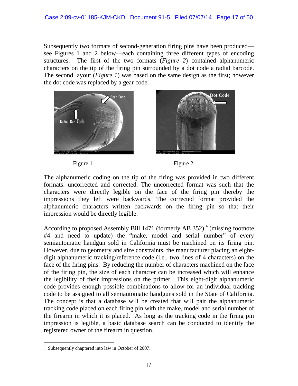Subsequently two formats of second-generation firing pins have been produced see Figures 1 and 2 below—each containing three different types of encoding structures. The first of the two formats (*Figure 2*) contained alphanumeric characters on the tip of the firing pin surrounded by a dot code a radial barcode. The second layout (*Figure 1*) was based on the same design as the first; however the dot code was replaced by a gear code.





Figure 1 Figure 2

The alphanumeric coding on the tip of the firing was provided in two different formats: uncorrected and corrected. The uncorrected format was such that the characters were directly legible on the face of the firing pin thereby the impressions they left were backwards. The corrected format provided the alphanumeric characters written backwards on the firing pin so that their impression would be directly legible.

According to proposed Assembly Bill 1471 (formerly AB 352), $4$  (missing footnote #4 and need to update) the "make, model and serial number" of every semiautomatic handgun sold in California must be machined on its firing pin. However, due to geometry and size constraints, the manufacturer placing an eightdigit alphanumeric tracking/reference code (i.e., two lines of 4 characters) on the face of the firing pins. By reducing the number of characters machined on the face of the firing pin, the size of each character can be increased which will enhance the legibility of their impressions on the primer. This eight-digit alphanumeric code provides enough possible combinations to allow for an individual tracking code to be assigned to all semiautomatic handguns sold in the State of California. The concept is that a database will be created that will pair the alphanumeric tracking code placed on each firing pin with the make, model and serial number of the firearm in which it is placed. As long as the tracking code in the firing pin impression is legible, a basic database search can be conducted to identify the registered owner of the firearm in question.

 $\overline{a}$ <sup>4</sup>. Subsequently chaptered into law in October of 2007.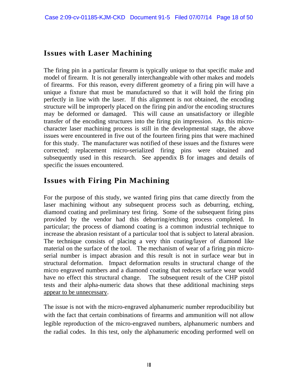## **Issues with Laser Machining**

The firing pin in a particular firearm is typically unique to that specific make and model of firearm. It is not generally interchangeable with other makes and models of firearms. For this reason, every different geometry of a firing pin will have a unique a fixture that must be manufactured so that it will hold the firing pin perfectly in line with the laser. If this alignment is not obtained, the encoding structure will be improperly placed on the firing pin and/or the encoding structures may be deformed or damaged. This will cause an unsatisfactory or illegible transfer of the encoding structures into the firing pin impression. As this microcharacter laser machining process is still in the developmental stage, the above issues were encountered in five out of the fourteen firing pins that were machined for this study. The manufacturer was notified of these issues and the fixtures were corrected; replacement micro-serialized firing pins were obtained and subsequently used in this research. See appendix B for images and details of specific the issues encountered.

### **Issues with Firing Pin Machining**

For the purpose of this study, we wanted firing pins that came directly from the laser machining without any subsequent process such as deburring, etching, diamond coating and preliminary test firing. Some of the subsequent firing pins provided by the vendor had this deburring/etching process completed. In particular; the process of diamond coating is a common industrial technique to increase the abrasion resistant of a particular tool that is subject to lateral abrasion. The technique consists of placing a very thin coating/layer of diamond like material on the surface of the tool. The mechanism of wear of a firing pin microserial number is impact abrasion and this result is not in surface wear but in structural deformation. Impact deformation results in structural change of the micro engraved numbers and a diamond coating that reduces surface wear would have no effect this structural change. The subsequent result of the CHP pistol tests and their alpha-numeric data shows that these additional machining steps appear to be unnecessary.

The issue is not with the micro-engraved alphanumeric number reproducibility but with the fact that certain combinations of firearms and ammunition will not allow legible reproduction of the micro-engraved numbers, alphanumeric numbers and the radial codes. In this test, only the alphanumeric encoding performed well on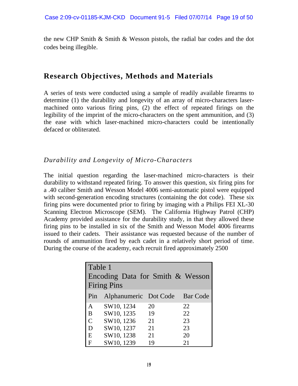the new CHP Smith & Smith & Wesson pistols, the radial bar codes and the dot codes being illegible.

### **Research Objectives, Methods and Materials**

A series of tests were conducted using a sample of readily available firearms to determine (1) the durability and longevity of an array of micro-characters lasermachined onto various firing pins, (2) the effect of repeated firings on the legibility of the imprint of the micro-characters on the spent ammunition, and (3) the ease with which laser-machined micro-characters could be intentionally defaced or obliterated.

#### *Durability and Longevity of Micro-Characters*

The initial question regarding the laser-machined micro-characters is their durability to withstand repeated firing. To answer this question, six firing pins for a .40 caliber Smith and Wesson Model 4006 semi-automatic pistol were equipped with second-generation encoding structures (containing the dot code). These six firing pins were documented prior to firing by imaging with a Philips FEI XL-30 Scanning Electron Microscope (SEM). The California Highway Patrol (CHP) Academy provided assistance for the durability study, in that they allowed these firing pins to be installed in six of the Smith and Wesson Model 4006 firearms issued to their cadets. Their assistance was requested because of the number of rounds of ammunition fired by each cadet in a relatively short period of time. During the course of the academy, each recruit fired approximately 2500

| Table 1      |                                  |    |                 |  |
|--------------|----------------------------------|----|-----------------|--|
|              | Encoding Data for Smith & Wesson |    |                 |  |
|              | <b>Firing Pins</b>               |    |                 |  |
| Pin          | Alphanumeric Dot Code            |    | <b>Bar</b> Code |  |
| A            | SW10, 1234                       | 20 | 22              |  |
| B            | SW10, 1235                       | 19 | 22              |  |
| $\mathsf{C}$ | SW10, 1236                       | 21 | 23              |  |
| D            | SW10, 1237                       | 21 | 23              |  |
| E            | SW10, 1238                       | 21 | 20              |  |
| F            | SW10, 1239                       | 19 | 21              |  |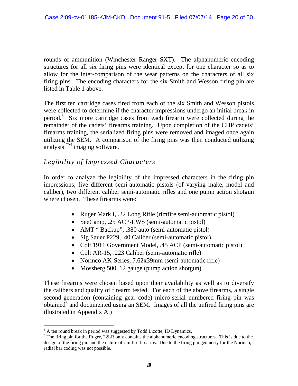rounds of ammunition (Winchester Ranger SXT). The alphanumeric encoding structures for all six firing pins were identical except for one character so as to allow for the inter-comparison of the wear patterns on the characters of all six firing pins. The encoding characters for the six Smith and Wesson firing pin are listed in Table 1 above.

The first ten cartridge cases fired from each of the six Smith and Wesson pistols were collected to determine if the character impressions undergo an initial break in period.5 Six more cartridge cases from each firearm were collected during the remainder of the cadets' firearms training. Upon completion of the CHP cadets' firearms training, the serialized firing pins were removed and imaged once again utilizing the SEM. A comparison of the firing pins was then conducted utilizing analysis  $^{TM}$  imaging software.

#### *Legibility of Impressed Characters*

In order to analyze the legibility of the impressed characters in the firing pin impressions, five different semi-automatic pistols (of varying make, model and caliber), two different caliber semi-automatic rifles and one pump action shotgun where chosen. These firearms were:

- Ruger Mark I, .22 Long Rifle (rimfire semi-automatic pistol)
- SeeCamp, .25 ACP-LWS (semi-automatic pistol)
- AMT "Backup", .380 auto (semi-automatic pistol)
- Sig Sauer P229, .40 Caliber (semi-automatic pistol)
- Colt 1911 Government Model, .45 ACP (semi-automatic pistol)
- Colt AR-15, .223 Caliber (semi-automatic rifle)
- Norinco AK-Series, 7.62x39mm (semi-automatic rifle)
- Mossberg 500, 12 gauge (pump action shotgun)

These firearms were chosen based upon their availability as well as to diversify the calibers and quality of firearm tested. For each of the above firearms, a single second-generation (containing gear code) micro-serial numbered firing pin was obtained $\overline{d}^6$  and documented using an SEM. Images of all the unfired firing pins are illustrated in Appendix A.)

 5 A ten round break in period was suggested by Todd Lizotte, ID Dynamics.

<sup>&</sup>lt;sup>6</sup> The firing pin for the Ruger, 22LR only contains the alphanumeric encoding structures. This is due to the design of the firing pin and the nature of rim fire firearms. Due to the firing pin geometry for the Norinco, radial bar coding was not possible.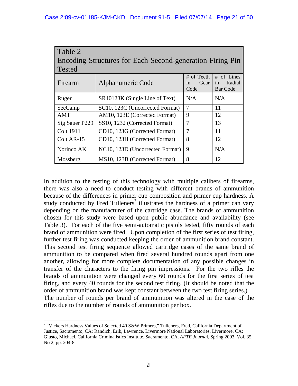| Table 2<br>Encoding Structures for Each Second-generation Firing Pin<br><b>Tested</b> |                                 |                                  |                                               |
|---------------------------------------------------------------------------------------|---------------------------------|----------------------------------|-----------------------------------------------|
| Firearm                                                                               | Alphanumeric Code               | # of Teeth<br>Gear<br>1n<br>Code | # of Lines<br>in<br>Radial<br><b>Bar Code</b> |
| Ruger                                                                                 | SR10123K (Single Line of Text)  | N/A                              | N/A                                           |
| SeeCamp                                                                               | SC10, 123C (Uncorrected Format) | $\overline{7}$                   | 11                                            |
| <b>AMT</b>                                                                            | AM10, 123E (Corrected Format)   | 9                                | 12                                            |
| Sig Sauer P229                                                                        | SS10, 1232 (Corrected Format)   | 7                                | 13                                            |
| <b>Colt 1911</b>                                                                      | CD10, 123G (Corrected Format)   | 7                                | 11                                            |
| Colt AR-15                                                                            | CD10, 123H (Corrected Format)   | 8                                | 12                                            |
| Norinco AK                                                                            | NC10, 123D (Uncorrected Format) | 9                                | N/A                                           |
| Mossberg                                                                              | MS10, 123B (Corrected Format)   | 8                                | 12                                            |

In addition to the testing of this technology with multiple calibers of firearms, there was also a need to conduct testing with different brands of ammunition because of the differences in primer cup composition and primer cup hardness. A study conducted by Fred Tulleners<sup>7</sup> illustrates the hardness of a primer can vary depending on the manufacturer of the cartridge case. The brands of ammunition chosen for this study were based upon public abundance and availability (see Table 3). For each of the five semi-automatic pistols tested, fifty rounds of each brand of ammunition were fired. Upon completion of the first series of test firing, further test firing was conducted keeping the order of ammunition brand constant. This second test firing sequence allowed cartridge cases of the same brand of ammunition to be compared when fired several hundred rounds apart from one another, allowing for more complete documentation of any possible changes in transfer of the characters to the firing pin impressions. For the two rifles the brands of ammunition were changed every 60 rounds for the first series of test firing, and every 40 rounds for the second test firing. (It should be noted that the order of ammunition brand was kept constant between the two test firing series.) The number of rounds per brand of ammunition was altered in the case of the rifles due to the number of rounds of ammunition per box.

 $\overline{a}$ 

<sup>&</sup>lt;sup>7</sup> "Vickers Hardness Values of Selected 40 S&W Primers," Tulleners, Fred, California Department of Justice, Sacramento, CA; Randich, Erik, Lawrence, Livermore National Laboratories, Livermore, CA; Giusto, Michael, California Criminalistics Institute, Sacramento, CA. *AFTE Journa*l, Spring 2003, Vol. 35, No 2, pp. 204-8.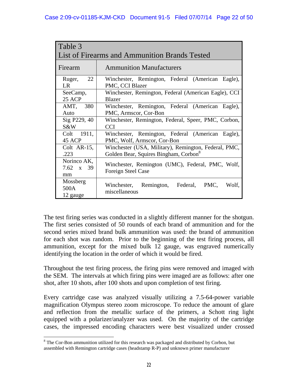| Table 3                        |                                                                        |  |  |
|--------------------------------|------------------------------------------------------------------------|--|--|
|                                | List of Firearms and Ammunition Brands Tested                          |  |  |
| Firearm                        | <b>Ammunition Manufacturers</b>                                        |  |  |
| 22<br>Ruger,<br>LR             | Winchester, Remington, Federal (American Eagle),<br>PMC, CCI Blazer    |  |  |
| SeeCamp,                       | Winchester, Remington, Federal (American Eagle), CCI                   |  |  |
| 25 ACP                         | <b>Blazer</b>                                                          |  |  |
| AMT, 380                       | Winchester, Remington, Federal (American Eagle),                       |  |  |
| Auto                           | PMC, Armscor, Cor-Bon                                                  |  |  |
| Sig P229, 40                   | Winchester, Remington, Federal, Speer, PMC, Corbon,                    |  |  |
| S&W                            | <b>CCI</b>                                                             |  |  |
| Colt 1911,                     | Winchester, Remington, Federal (American Eagle),                       |  |  |
| 45 ACP                         | PMC, Wolf, Armscor, Cor-Bon                                            |  |  |
| Colt AR-15,                    | Winchester (USA, Military), Remington, Federal, PMC,                   |  |  |
| .223                           | Golden Bear, Squires Bingham, Corbon <sup>8</sup>                      |  |  |
| Norinco AK,<br>7.62 x 39<br>mm | Winchester, Remington (UMC), Federal, PMC, Wolf,<br>Foreign Steel Case |  |  |
| Mossberg                       | Winchester, Remington, Federal, PMC,                                   |  |  |
| 500A                           | Wolf,                                                                  |  |  |
| 12 gauge                       | miscellaneous                                                          |  |  |

The test firing series was conducted in a slightly different manner for the shotgun. The first series consisted of 50 rounds of each brand of ammunition and for the second series mixed brand bulk ammunition was used: the brand of ammunition for each shot was random. Prior to the beginning of the test firing process, all ammunition, except for the mixed bulk 12 gauge, was engraved numerically identifying the location in the order of which it would be fired.

Throughout the test firing process, the firing pins were removed and imaged with the SEM. The intervals at which firing pins were imaged are as follows: after one shot, after 10 shots, after 100 shots and upon completion of test firing.

Every cartridge case was analyzed visually utilizing a 7.5-64-power variable magnification Olympus stereo zoom microscope. To reduce the amount of glare and reflection from the metallic surface of the primers, a Schott ring light equipped with a polarizer/analyzer was used. On the majority of the cartridge cases, the impressed encoding characters were best visualized under crossed

 $\overline{a}$  $8$  The Cor-Bon ammunition utilized for this research was packaged and distributed by Corbon, but assembled with Remington cartridge cases (headstamp R-P) and unknown primer manufacturer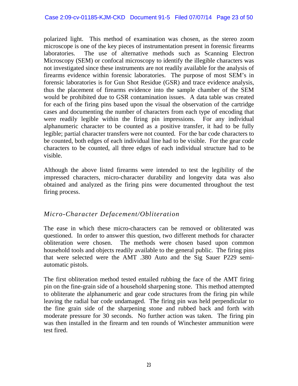polarized light. This method of examination was chosen, as the stereo zoom microscope is one of the key pieces of instrumentation present in forensic firearms laboratories. The use of alternative methods such as Scanning Electron Microscopy (SEM) or confocal microscopy to identify the illegible characters was not investigated since these instruments are not readily available for the analysis of firearms evidence within forensic laboratories. The purpose of most SEM's in forensic laboratories is for Gun Shot Residue (GSR) and trace evidence analysis, thus the placement of firearms evidence into the sample chamber of the SEM would be prohibited due to GSR contamination issues. A data table was created for each of the firing pins based upon the visual the observation of the cartridge cases and documenting the number of characters from each type of encoding that were readily legible within the firing pin impressions. For any individual alphanumeric character to be counted as a positive transfer, it had to be fully legible; partial character transfers were not counted. For the bar code characters to be counted, both edges of each individual line had to be visible. For the gear code characters to be counted, all three edges of each individual structure had to be visible.

Although the above listed firearms were intended to test the legibility of the impressed characters, micro-character durability and longevity data was also obtained and analyzed as the firing pins were documented throughout the test firing process.

#### *Micro-Character Defacement/Obliteration*

The ease in which these micro-characters can be removed or obliterated was questioned. In order to answer this question, two different methods for character obliteration were chosen. The methods were chosen based upon common household tools and objects readily available to the general public. The firing pins that were selected were the AMT .380 Auto and the Sig Sauer P229 semiautomatic pistols.

The first obliteration method tested entailed rubbing the face of the AMT firing pin on the fine-grain side of a household sharpening stone. This method attempted to obliterate the alphanumeric and gear code structures from the firing pin while leaving the radial bar code undamaged. The firing pin was held perpendicular to the fine grain side of the sharpening stone and rubbed back and forth with moderate pressure for 30 seconds. No further action was taken. The firing pin was then installed in the firearm and ten rounds of Winchester ammunition were test fired.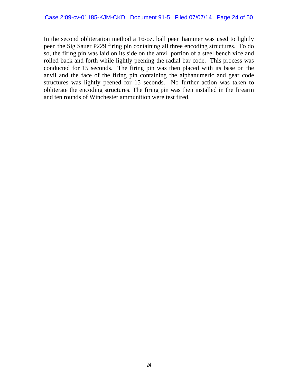In the second obliteration method a 16-oz. ball peen hammer was used to lightly peen the Sig Sauer P229 firing pin containing all three encoding structures. To do so, the firing pin was laid on its side on the anvil portion of a steel bench vice and rolled back and forth while lightly peening the radial bar code. This process was conducted for 15 seconds. The firing pin was then placed with its base on the anvil and the face of the firing pin containing the alphanumeric and gear code structures was lightly peened for 15 seconds. No further action was taken to obliterate the encoding structures. The firing pin was then installed in the firearm and ten rounds of Winchester ammunition were test fired.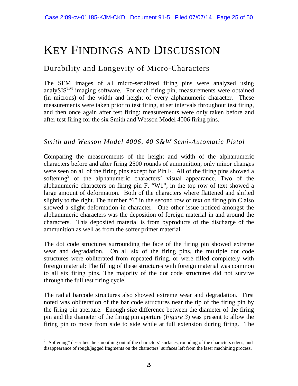## KEY FINDINGS AND DISCUSSION

### Durability and Longevity of Micro-Characters

The SEM images of all micro-serialized firing pins were analyzed using analySIS<sup>TM</sup> imaging software. For each firing pin, measurements were obtained (in microns) of the width and height of every alphanumeric character. These measurements were taken prior to test firing, at set intervals throughout test firing, and then once again after test firing: measurements were only taken before and after test firing for the six Smith and Wesson Model 4006 firing pins.

#### *Smith and Wesson Model 4006, 40 S&W Semi-Automatic Pistol*

Comparing the measurements of the height and width of the alphanumeric characters before and after firing 2500 rounds of ammunition, only minor changes were seen on all of the firing pins except for Pin F. All of the firing pins showed a softening<sup>9</sup> of the alphanumeric characters' visual appearance. Two of the alphanumeric characters on firing pin F, "W1", in the top row of text showed a large amount of deformation. Both of the characters where flattened and shifted slightly to the right. The number "6" in the second row of text on firing pin C also showed a slight deformation in character. One other issue noticed amongst the alphanumeric characters was the deposition of foreign material in and around the characters. This deposited material is from byproducts of the discharge of the ammunition as well as from the softer primer material.

The dot code structures surrounding the face of the firing pin showed extreme wear and degradation. On all six of the firing pins, the multiple dot code structures were obliterated from repeated firing, or were filled completely with foreign material: The filling of these structures with foreign material was common to all six firing pins. The majority of the dot code structures did not survive through the full test firing cycle.

The radial barcode structures also showed extreme wear and degradation. First noted was obliteration of the bar code structures near the tip of the firing pin by the firing pin aperture. Enough size difference between the diameter of the firing pin and the diameter of the firing pin aperture (*Figure 3*) was present to allow the firing pin to move from side to side while at full extension during firing. The

 $\overline{a}$ 

<sup>&</sup>lt;sup>9</sup> "Softening" describes the smoothing out of the characters' surfaces, rounding of the characters edges, and disappearance of rough/jagged fragments on the characters' surfaces left from the laser machining process.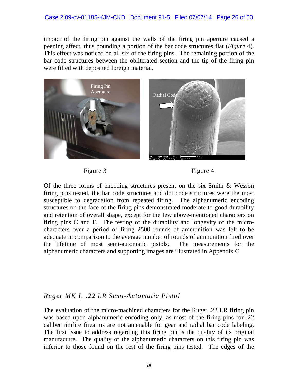impact of the firing pin against the walls of the firing pin aperture caused a peening affect, thus pounding a portion of the bar code structures flat (*Figure* 4). This effect was noticed on all six of the firing pins. The remaining portion of the bar code structures between the obliterated section and the tip of the firing pin were filled with deposited foreign material.



Figure 3 Figure 4

Of the three forms of encoding structures present on the six Smith & Wesson firing pins tested, the bar code structures and dot code structures were the most susceptible to degradation from repeated firing. The alphanumeric encoding structures on the face of the firing pins demonstrated moderate-to-good durability and retention of overall shape, except for the few above-mentioned characters on firing pins C and F. The testing of the durability and longevity of the microcharacters over a period of firing 2500 rounds of ammunition was felt to be adequate in comparison to the average number of rounds of ammunition fired over the lifetime of most semi-automatic pistols. The measurements for the alphanumeric characters and supporting images are illustrated in Appendix C.

#### *Ruger MK I, .22 LR Semi-Automatic Pistol*

The evaluation of the micro-machined characters for the Ruger .22 LR firing pin was based upon alphanumeric encoding only, as most of the firing pins for .22 caliber rimfire firearms are not amenable for gear and radial bar code labeling. The first issue to address regarding this firing pin is the quality of its original manufacture. The quality of the alphanumeric characters on this firing pin was inferior to those found on the rest of the firing pins tested. The edges of the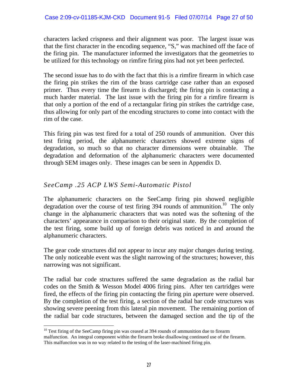characters lacked crispness and their alignment was poor. The largest issue was that the first character in the encoding sequence, "S," was machined off the face of the firing pin. The manufacturer informed the investigators that the geometries to be utilized for this technology on rimfire firing pins had not yet been perfected.

The second issue has to do with the fact that this is a rimfire firearm in which case the firing pin strikes the rim of the brass cartridge case rather than an exposed primer. Thus every time the firearm is discharged; the firing pin is contacting a much harder material. The last issue with the firing pin for a rimfire firearm is that only a portion of the end of a rectangular firing pin strikes the cartridge case, thus allowing for only part of the encoding structures to come into contact with the rim of the case.

This firing pin was test fired for a total of 250 rounds of ammunition. Over this test firing period, the alphanumeric characters showed extreme signs of degradation, so much so that no character dimensions were obtainable. The degradation and deformation of the alphanumeric characters were documented through SEM images only. These images can be seen in Appendix D.

#### *SeeCamp .25 ACP LWS Semi-Automatic Pistol*

 $\overline{a}$ 

The alphanumeric characters on the SeeCamp firing pin showed negligible degradation over the course of test firing 394 rounds of ammunition.<sup>10</sup> The only change in the alphanumeric characters that was noted was the softening of the characters' appearance in comparison to their original state. By the completion of the test firing, some build up of foreign debris was noticed in and around the alphanumeric characters.

The gear code structures did not appear to incur any major changes during testing. The only noticeable event was the slight narrowing of the structures; however, this narrowing was not significant.

The radial bar code structures suffered the same degradation as the radial bar codes on the Smith & Wesson Model 4006 firing pins. After ten cartridges were fired, the effects of the firing pin contacting the firing pin aperture were observed. By the completion of the test firing, a section of the radial bar code structures was showing severe peening from this lateral pin movement. The remaining portion of the radial bar code structures, between the damaged section and the tip of the

 $10$  Test firing of the SeeCamp firing pin was ceased at 394 rounds of ammunition due to firearm malfunction. An integral component within the firearm broke disallowing continued use of the firearm. This malfunction was in no way related to the testing of the laser-machined firing pin.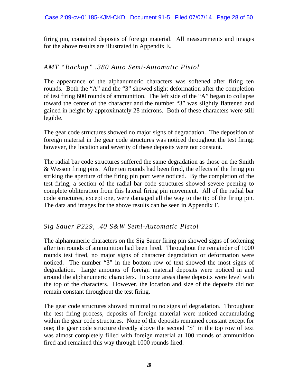firing pin, contained deposits of foreign material. All measurements and images for the above results are illustrated in Appendix E.

#### *AMT "Backup" .380 Auto Semi-Automatic Pistol*

The appearance of the alphanumeric characters was softened after firing ten rounds. Both the "A" and the "3" showed slight deformation after the completion of test firing 600 rounds of ammunition. The left side of the "A" began to collapse toward the center of the character and the number "3" was slightly flattened and gained in height by approximately 28 microns. Both of these characters were still legible.

The gear code structures showed no major signs of degradation. The deposition of foreign material in the gear code structures was noticed throughout the test firing; however, the location and severity of these deposits were not constant.

The radial bar code structures suffered the same degradation as those on the Smith & Wesson firing pins. After ten rounds had been fired, the effects of the firing pin striking the aperture of the firing pin port were noticed. By the completion of the test firing, a section of the radial bar code structures showed severe peening to complete obliteration from this lateral firing pin movement. All of the radial bar code structures, except one, were damaged all the way to the tip of the firing pin. The data and images for the above results can be seen in Appendix F.

#### *Sig Sauer P229, .40 S&W Semi-Automatic Pistol*

The alphanumeric characters on the Sig Sauer firing pin showed signs of softening after ten rounds of ammunition had been fired. Throughout the remainder of 1000 rounds test fired, no major signs of character degradation or deformation were noticed. The number "3" in the bottom row of text showed the most signs of degradation. Large amounts of foreign material deposits were noticed in and around the alphanumeric characters. In some areas these deposits were level with the top of the characters. However, the location and size of the deposits did not remain constant throughout the test firing.

The gear code structures showed minimal to no signs of degradation. Throughout the test firing process, deposits of foreign material were noticed accumulating within the gear code structures. None of the deposits remained constant except for one; the gear code structure directly above the second "S" in the top row of text was almost completely filled with foreign material at 100 rounds of ammunition fired and remained this way through 1000 rounds fired.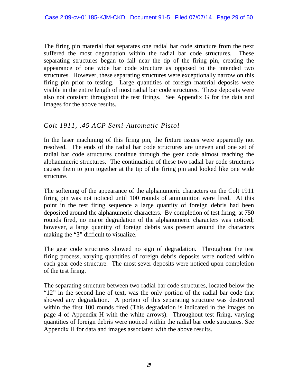The firing pin material that separates one radial bar code structure from the next suffered the most degradation within the radial bar code structures. These separating structures began to fail near the tip of the firing pin, creating the appearance of one wide bar code structure as opposed to the intended two structures. However, these separating structures were exceptionally narrow on this firing pin prior to testing. Large quantities of foreign material deposits were visible in the entire length of most radial bar code structures. These deposits were also not constant throughout the test firings. See Appendix G for the data and images for the above results.

#### *Colt 1911, .45 ACP Semi-Automatic Pistol*

In the laser machining of this firing pin, the fixture issues were apparently not resolved. The ends of the radial bar code structures are uneven and one set of radial bar code structures continue through the gear code almost reaching the alphanumeric structures. The continuation of these two radial bar code structures causes them to join together at the tip of the firing pin and looked like one wide structure.

The softening of the appearance of the alphanumeric characters on the Colt 1911 firing pin was not noticed until 100 rounds of ammunition were fired. At this point in the test firing sequence a large quantity of foreign debris had been deposited around the alphanumeric characters. By completion of test firing, at 750 rounds fired, no major degradation of the alphanumeric characters was noticed; however, a large quantity of foreign debris was present around the characters making the "3" difficult to visualize.

The gear code structures showed no sign of degradation. Throughout the test firing process, varying quantities of foreign debris deposits were noticed within each gear code structure. The most sever deposits were noticed upon completion of the test firing.

The separating structure between two radial bar code structures, located below the "12" in the second line of text, was the only portion of the radial bar code that showed any degradation. A portion of this separating structure was destroyed within the first 100 rounds fired (This degradation is indicated in the images on page 4 of Appendix H with the white arrows). Throughout test firing, varying quantities of foreign debris were noticed within the radial bar code structures. See Appendix H for data and images associated with the above results.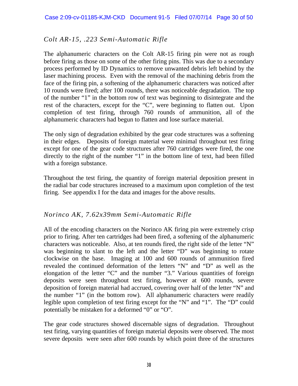#### *Colt AR-15, .223 Semi-Automatic Rifle*

The alphanumeric characters on the Colt AR-15 firing pin were not as rough before firing as those on some of the other firing pins. This was due to a secondary process performed by ID Dynamics to remove unwanted debris left behind by the laser machining process. Even with the removal of the machining debris from the face of the firing pin, a softening of the alphanumeric characters was noticed after 10 rounds were fired; after 100 rounds, there was noticeable degradation. The top of the number "1" in the bottom row of text was beginning to disintegrate and the rest of the characters, except for the "C", were beginning to flatten out. Upon completion of test firing, through 760 rounds of ammunition, all of the alphanumeric characters had begun to flatten and lose surface material.

The only sign of degradation exhibited by the gear code structures was a softening in their edges. Deposits of foreign material were minimal throughout test firing except for one of the gear code structures after 760 cartridges were fired, the one directly to the right of the number "1" in the bottom line of text, had been filled with a foreign substance.

Throughout the test firing, the quantity of foreign material deposition present in the radial bar code structures increased to a maximum upon completion of the test firing. See appendix I for the data and images for the above results.

#### *Norinco AK, 7.62x39mm Semi-Automatic Rifle*

All of the encoding characters on the Norinco AK firing pin were extremely crisp prior to firing. After ten cartridges had been fired, a softening of the alphanumeric characters was noticeable. Also, at ten rounds fired, the right side of the letter "N" was beginning to slant to the left and the letter "D" was beginning to rotate clockwise on the base. Imaging at 100 and 600 rounds of ammunition fired revealed the continued deformation of the letters "N" and "D" as well as the elongation of the letter "C" and the number "3." Various quantities of foreign deposits were seen throughout test firing, however at 600 rounds, severe deposition of foreign material had accrued, covering over half of the letter "N" and the number "1" (in the bottom row). All alphanumeric characters were readily legible upon completion of test firing except for the "N" and "1". The "D" could potentially be mistaken for a deformed "0" or "O".

The gear code structures showed discernable signs of degradation. Throughout test firing, varying quantities of foreign material deposits were observed. The most severe deposits were seen after 600 rounds by which point three of the structures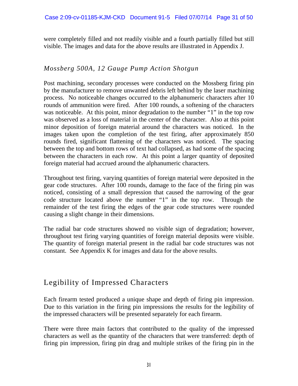were completely filled and not readily visible and a fourth partially filled but still visible. The images and data for the above results are illustrated in Appendix J.

#### *Mossberg 500A, 12 Gauge Pump Action Shotgun*

Post machining, secondary processes were conducted on the Mossberg firing pin by the manufacturer to remove unwanted debris left behind by the laser machining process. No noticeable changes occurred to the alphanumeric characters after 10 rounds of ammunition were fired. After 100 rounds, a softening of the characters was noticeable. At this point, minor degradation to the number "1" in the top row was observed as a loss of material in the center of the character. Also at this point minor deposition of foreign material around the characters was noticed. In the images taken upon the completion of the test firing, after approximately 850 rounds fired, significant flattening of the characters was noticed. The spacing between the top and bottom rows of text had collapsed, as had some of the spacing between the characters in each row. At this point a larger quantity of deposited foreign material had accrued around the alphanumeric characters.

Throughout test firing, varying quantities of foreign material were deposited in the gear code structures. After 100 rounds, damage to the face of the firing pin was noticed, consisting of a small depression that caused the narrowing of the gear code structure located above the number "1" in the top row. Through the remainder of the test firing the edges of the gear code structures were rounded causing a slight change in their dimensions.

The radial bar code structures showed no visible sign of degradation; however, throughout test firing varying quantities of foreign material deposits were visible. The quantity of foreign material present in the radial bar code structures was not constant. See Appendix K for images and data for the above results.

## Legibility of Impressed Characters

Each firearm tested produced a unique shape and depth of firing pin impression. Due to this variation in the firing pin impressions the results for the legibility of the impressed characters will be presented separately for each firearm.

There were three main factors that contributed to the quality of the impressed characters as well as the quantity of the characters that were transferred: depth of firing pin impression, firing pin drag and multiple strikes of the firing pin in the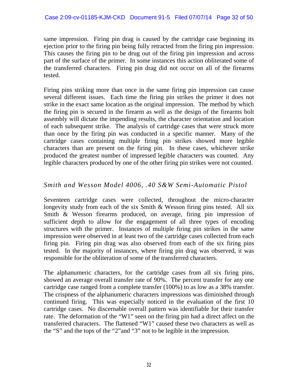same impression. Firing pin drag is caused by the cartridge case beginning its ejection prior to the firing pin being fully retracted from the firing pin impression. This causes the firing pin to be drug out of the firing pin impression and across part of the surface of the primer. In some instances this action obliterated some of the transferred characters. Firing pin drag did not occur on all of the firearms tested.

Firing pins striking more than once in the same firing pin impression can cause several different issues. Each time the firing pin strikes the primer it does not strike in the exact same location as the original impression. The method by which the firing pin is secured in the firearm as well as the design of the firearms bolt assembly will dictate the impending results, the character orientation and location of each subsequent strike. The analysis of cartridge cases that were struck more than once by the firing pin was conducted in a specific manner. Many of the cartridge cases containing multiple firing pin strikes showed more legible characters than are present on the firing pin. In these cases, whichever strike produced the greatest number of impressed legible characters was counted. Any legible characters produced by one of the other firing pin strikes were not counted.

#### *Smith and Wesson Model 4006, .40 S&W Semi-Automatic Pistol*

Seventeen cartridge cases were collected, throughout the micro-character longevity study from each of the six Smith & Wesson firing pins tested. All six Smith & Wesson firearms produced, on average, firing pin impression of sufficient depth to allow for the engagement of all three types of encoding structures with the primer. Instances of multiple firing pin strikes in the same impression were observed in at least two of the cartridge cases collected from each firing pin. Firing pin drag was also observed from each of the six firing pins tested. In the majority of instances, where firing pin drag was observed, it was responsible for the obliteration of some of the transferred characters.

The alphanumeric characters, for the cartridge cases from all six firing pins, showed an average overall transfer rate of 90%. The percent transfer for any one cartridge case ranged from a complete transfer (100%) to as low as a 38% transfer. The crispness of the alphanumeric characters impressions was diminished through continued firing. This was especially noticed in the evaluation of the first 10 cartridge cases. No discernable overall pattern was identifiable for their transfer rate. The deformation of the "W1" seen on the firing pin had a direct affect on the transferred characters. The flattened "W1" caused these two characters as well as the "S" and the tops of the "2"and "3" not to be legible in the impression.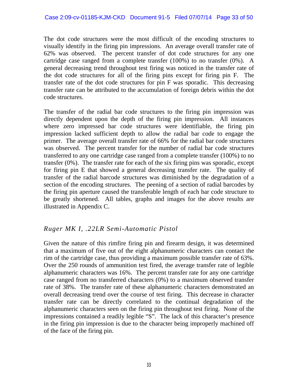The dot code structures were the most difficult of the encoding structures to visually identify in the firing pin impressions. An average overall transfer rate of 62% was observed. The percent transfer of dot code structures for any one cartridge case ranged from a complete transfer (100%) to no transfer (0%). A general decreasing trend throughout test firing was noticed in the transfer rate of the dot code structures for all of the firing pins except for firing pin F. The transfer rate of the dot code structures for pin F was sporadic. This decreasing transfer rate can be attributed to the accumulation of foreign debris within the dot code structures.

The transfer of the radial bar code structures to the firing pin impression was directly dependent upon the depth of the firing pin impression. All instances where zero impressed bar code structures were identifiable, the firing pin impression lacked sufficient depth to allow the radial bar code to engage the primer. The average overall transfer rate of 66% for the radial bar code structures was observed. The percent transfer for the number of radial bar code structures transferred to any one cartridge case ranged from a complete transfer (100%) to no transfer (0%). The transfer rate for each of the six firing pins was sporadic, except for firing pin E that showed a general decreasing transfer rate. The quality of transfer of the radial barcode structures was diminished by the degradation of a section of the encoding structures. The peening of a section of radial barcodes by the firing pin aperture caused the transferable length of each bar code structure to be greatly shortened. All tables, graphs and images for the above results are illustrated in Appendix C.

#### *Ruger MK I, .22LR Semi-Automatic Pistol*

Given the nature of this rimfire firing pin and firearm design, it was determined that a maximum of five out of the eight alphanumeric characters can contact the rim of the cartridge case, thus providing a maximum possible transfer rate of 63%. Over the 250 rounds of ammunition test fired, the average transfer rate of legible alphanumeric characters was 16%. The percent transfer rate for any one cartridge case ranged from no transferred characters (0%) to a maximum observed transfer rate of 38%. The transfer rate of these alphanumeric characters demonstrated an overall decreasing trend over the course of test firing. This decrease in character transfer rate can be directly correlated to the continual degradation of the alphanumeric characters seen on the firing pin throughout test firing. None of the impressions contained a readily legible "S". The lack of this character's presence in the firing pin impression is due to the character being improperly machined off of the face of the firing pin.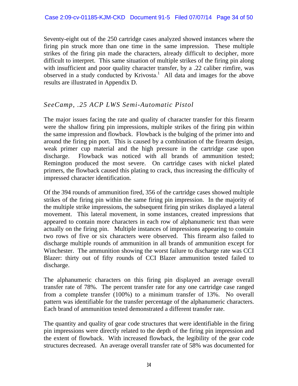Seventy-eight out of the 250 cartridge cases analyzed showed instances where the firing pin struck more than one time in the same impression. These multiple strikes of the firing pin made the characters, already difficult to decipher, more difficult to interpret. This same situation of multiple strikes of the firing pin along with insufficient and poor quality character transfer, by a .22 caliber rimfire, was observed in a study conducted by Krivosta.<sup>1</sup> All data and images for the above results are illustrated in Appendix D.

#### *SeeCamp, .25 ACP LWS Semi-Automatic Pistol*

The major issues facing the rate and quality of character transfer for this firearm were the shallow firing pin impressions, multiple strikes of the firing pin within the same impression and flowback. Flowback is the bulging of the primer into and around the firing pin port. This is caused by a combination of the firearm design, weak primer cup material and the high pressure in the cartridge case upon discharge. Flowback was noticed with all brands of ammunition tested; Remington produced the most severe. On cartridge cases with nickel plated primers, the flowback caused this plating to crack, thus increasing the difficulty of impressed character identification.

Of the 394 rounds of ammunition fired, 356 of the cartridge cases showed multiple strikes of the firing pin within the same firing pin impression. In the majority of the multiple strike impressions, the subsequent firing pin strikes displayed a lateral movement. This lateral movement, in some instances, created impressions that appeared to contain more characters in each row of alphanumeric text than were actually on the firing pin. Multiple instances of impressions appearing to contain two rows of five or six characters were observed. This firearm also failed to discharge multiple rounds of ammunition in all brands of ammunition except for Winchester. The ammunition showing the worst failure to discharge rate was CCI Blazer: thirty out of fifty rounds of CCI Blazer ammunition tested failed to discharge.

The alphanumeric characters on this firing pin displayed an average overall transfer rate of 78%. The percent transfer rate for any one cartridge case ranged from a complete transfer (100%) to a minimum transfer of 13%. No overall pattern was identifiable for the transfer percentage of the alphanumeric characters. Each brand of ammunition tested demonstrated a different transfer rate.

The quantity and quality of gear code structures that were identifiable in the firing pin impressions were directly related to the depth of the firing pin impression and the extent of flowback. With increased flowback, the legibility of the gear code structures decreased. An average overall transfer rate of 58% was documented for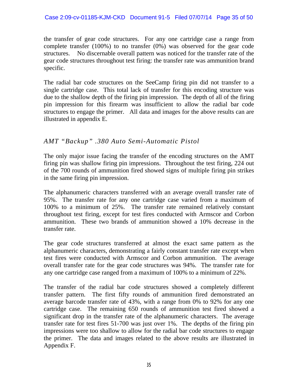the transfer of gear code structures. For any one cartridge case a range from complete transfer (100%) to no transfer (0%) was observed for the gear code structures. No discernable overall pattern was noticed for the transfer rate of the gear code structures throughout test firing: the transfer rate was ammunition brand specific.

The radial bar code structures on the SeeCamp firing pin did not transfer to a single cartridge case. This total lack of transfer for this encoding structure was due to the shallow depth of the firing pin impression. The depth of all of the firing pin impression for this firearm was insufficient to allow the radial bar code structures to engage the primer. All data and images for the above results can are illustrated in appendix E.

#### *AMT "Backup" .380 Auto Semi-Automatic Pistol*

The only major issue facing the transfer of the encoding structures on the AMT firing pin was shallow firing pin impressions. Throughout the test firing, 224 out of the 700 rounds of ammunition fired showed signs of multiple firing pin strikes in the same firing pin impression.

The alphanumeric characters transferred with an average overall transfer rate of 95%. The transfer rate for any one cartridge case varied from a maximum of 100% to a minimum of 25%. The transfer rate remained relatively constant throughout test firing, except for test fires conducted with Armscor and Corbon ammunition. These two brands of ammunition showed a 10% decrease in the transfer rate.

The gear code structures transferred at almost the exact same pattern as the alphanumeric characters, demonstrating a fairly constant transfer rate except when test fires were conducted with Armscor and Corbon ammunition. The average overall transfer rate for the gear code structures was 94%. The transfer rate for any one cartridge case ranged from a maximum of 100% to a minimum of 22%.

The transfer of the radial bar code structures showed a completely different transfer pattern. The first fifty rounds of ammunition fired demonstrated an average barcode transfer rate of 43%, with a range from 0% to 92% for any one cartridge case. The remaining 650 rounds of ammunition test fired showed a significant drop in the transfer rate of the alphanumeric characters. The average transfer rate for test fires 51-700 was just over 1%. The depths of the firing pin impressions were too shallow to allow for the radial bar code structures to engage the primer. The data and images related to the above results are illustrated in Appendix F.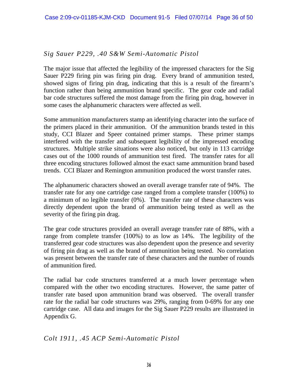#### *Sig Sauer P229, .40 S&W Semi-Automatic Pistol*

The major issue that affected the legibility of the impressed characters for the Sig Sauer P229 firing pin was firing pin drag. Every brand of ammunition tested, showed signs of firing pin drag, indicating that this is a result of the firearm's function rather than being ammunition brand specific. The gear code and radial bar code structures suffered the most damage from the firing pin drag, however in some cases the alphanumeric characters were affected as well.

Some ammunition manufacturers stamp an identifying character into the surface of the primers placed in their ammunition. Of the ammunition brands tested in this study, CCI Blazer and Speer contained primer stamps. These primer stamps interfered with the transfer and subsequent legibility of the impressed encoding structures. Multiple strike situations were also noticed, but only in 113 cartridge cases out of the 1000 rounds of ammunition test fired. The transfer rates for all three encoding structures followed almost the exact same ammunition brand based trends. CCI Blazer and Remington ammunition produced the worst transfer rates.

The alphanumeric characters showed an overall average transfer rate of 94%. The transfer rate for any one cartridge case ranged from a complete transfer (100%) to a minimum of no legible transfer (0%). The transfer rate of these characters was directly dependent upon the brand of ammunition being tested as well as the severity of the firing pin drag.

The gear code structures provided an overall average transfer rate of 88%, with a range from complete transfer (100%) to as low as 14%. The legibility of the transferred gear code structures was also dependent upon the presence and severity of firing pin drag as well as the brand of ammunition being tested. No correlation was present between the transfer rate of these characters and the number of rounds of ammunition fired.

The radial bar code structures transferred at a much lower percentage when compared with the other two encoding structures. However, the same patter of transfer rate based upon ammunition brand was observed. The overall transfer rate for the radial bar code structures was 29%, ranging from 0-69% for any one cartridge case. All data and images for the Sig Sauer P229 results are illustrated in Appendix G.

#### *Colt 1911, .45 ACP Semi-Automatic Pistol*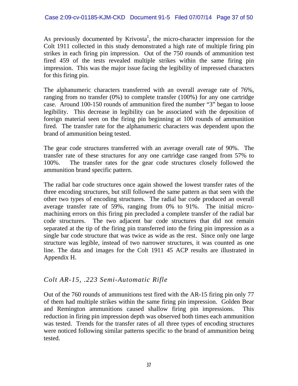As previously documented by Krivosta<sup>1</sup>, the micro-character impression for the Colt 1911 collected in this study demonstrated a high rate of multiple firing pin strikes in each firing pin impression. Out of the 750 rounds of ammunition test fired 459 of the tests revealed multiple strikes within the same firing pin impression. This was the major issue facing the legibility of impressed characters for this firing pin.

The alphanumeric characters transferred with an overall average rate of 76%, ranging from no transfer (0%) to complete transfer (100%) for any one cartridge case. Around 100-150 rounds of ammunition fired the number "3" began to loose legibility. This decrease in legibility can be associated with the deposition of foreign material seen on the firing pin beginning at 100 rounds of ammunition fired. The transfer rate for the alphanumeric characters was dependent upon the brand of ammunition being tested.

The gear code structures transferred with an average overall rate of 90%. The transfer rate of these structures for any one cartridge case ranged from 57% to 100%. The transfer rates for the gear code structures closely followed the ammunition brand specific pattern.

The radial bar code structures once again showed the lowest transfer rates of the three encoding structures, but still followed the same pattern as that seen with the other two types of encoding structures. The radial bar code produced an overall average transfer rate of 59%, ranging from 0% to 91%. The initial micromachining errors on this firing pin precluded a complete transfer of the radial bar code structures. The two adjacent bar code structures that did not remain separated at the tip of the firing pin transferred into the firing pin impression as a single bar code structure that was twice as wide as the rest. Since only one large structure was legible, instead of two narrower structures, it was counted as one line. The data and images for the Colt 1911 45 ACP results are illustrated in Appendix H.

#### *Colt AR-15, .223 Semi-Automatic Rifle*

Out of the 760 rounds of ammunitions test fired with the AR-15 firing pin only 77 of them had multiple strikes within the same firing pin impression. Golden Bear and Remington ammunitions caused shallow firing pin impressions. This reduction in firing pin impression depth was observed both times each ammunition was tested. Trends for the transfer rates of all three types of encoding structures were noticed following similar patterns specific to the brand of ammunition being tested.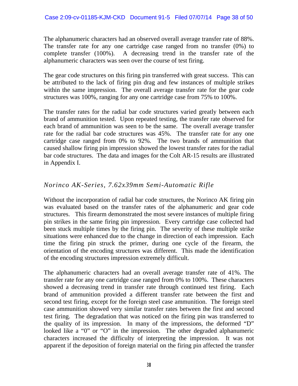The alphanumeric characters had an observed overall average transfer rate of 88%. The transfer rate for any one cartridge case ranged from no transfer (0%) to complete transfer (100%). A decreasing trend in the transfer rate of the alphanumeric characters was seen over the course of test firing.

The gear code structures on this firing pin transferred with great success. This can be attributed to the lack of firing pin drag and few instances of multiple strikes within the same impression. The overall average transfer rate for the gear code structures was 100%, ranging for any one cartridge case from 75% to 100%.

The transfer rates for the radial bar code structures varied greatly between each brand of ammunition tested. Upon repeated testing, the transfer rate observed for each brand of ammunition was seen to be the same. The overall average transfer rate for the radial bar code structures was 45%. The transfer rate for any one cartridge case ranged from 0% to 92%. The two brands of ammunition that caused shallow firing pin impression showed the lowest transfer rates for the radial bar code structures. The data and images for the Colt AR-15 results are illustrated in Appendix I.

#### *Norinco AK-Series, 7.62x39mm Semi-Automatic Rifle*

Without the incorporation of radial bar code structures, the Norinco AK firing pin was evaluated based on the transfer rates of the alphanumeric and gear code structures. This firearm demonstrated the most severe instances of multiple firing pin strikes in the same firing pin impression. Every cartridge case collected had been stuck multiple times by the firing pin. The severity of these multiple strike situations were enhanced due to the change in direction of each impression. Each time the firing pin struck the primer, during one cycle of the firearm, the orientation of the encoding structures was different. This made the identification of the encoding structures impression extremely difficult.

The alphanumeric characters had an overall average transfer rate of 41%. The transfer rate for any one cartridge case ranged from 0% to 100%. These characters showed a decreasing trend in transfer rate through continued test firing. Each brand of ammunition provided a different transfer rate between the first and second test firing, except for the foreign steel case ammunition. The foreign steel case ammunition showed very similar transfer rates between the first and second test firing. The degradation that was noticed on the firing pin was transferred to the quality of its impression. In many of the impressions, the deformed "D" looked like a "0" or "O" in the impression. The other degraded alphanumeric characters increased the difficulty of interpreting the impression. It was not apparent if the deposition of foreign material on the firing pin affected the transfer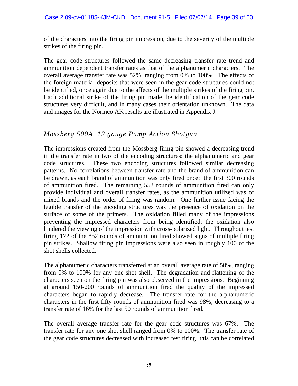of the characters into the firing pin impression, due to the severity of the multiple strikes of the firing pin.

The gear code structures followed the same decreasing transfer rate trend and ammunition dependent transfer rates as that of the alphanumeric characters. The overall average transfer rate was 52%, ranging from 0% to 100%. The effects of the foreign material deposits that were seen in the gear code structures could not be identified, once again due to the affects of the multiple strikes of the firing pin. Each additional strike of the firing pin made the identification of the gear code structures very difficult, and in many cases their orientation unknown. The data and images for the Norinco AK results are illustrated in Appendix J.

#### *Mossberg 500A, 12 gauge Pump Action Shotgun*

The impressions created from the Mossberg firing pin showed a decreasing trend in the transfer rate in two of the encoding structures: the alphanumeric and gear code structures. These two encoding structures followed similar decreasing patterns. No correlations between transfer rate and the brand of ammunition can be drawn, as each brand of ammunition was only fired once: the first 300 rounds of ammunition fired. The remaining 552 rounds of ammunition fired can only provide individual and overall transfer rates, as the ammunition utilized was of mixed brands and the order of firing was random. One further issue facing the legible transfer of the encoding structures was the presence of oxidation on the surface of some of the primers. The oxidation filled many of the impressions preventing the impressed characters from being identified: the oxidation also hindered the viewing of the impression with cross-polarized light. Throughout test firing 172 of the 852 rounds of ammunition fired showed signs of multiple firing pin strikes. Shallow firing pin impressions were also seen in roughly 100 of the shot shells collected.

The alphanumeric characters transferred at an overall average rate of 50%, ranging from 0% to 100% for any one shot shell. The degradation and flattening of the characters seen on the firing pin was also observed in the impressions. Beginning at around 150-200 rounds of ammunition fired the quality of the impressed characters began to rapidly decrease. The transfer rate for the alphanumeric characters in the first fifty rounds of ammunition fired was 98%, decreasing to a transfer rate of 16% for the last 50 rounds of ammunition fired.

The overall average transfer rate for the gear code structures was 67%. The transfer rate for any one shot shell ranged from 0% to 100%. The transfer rate of the gear code structures decreased with increased test firing; this can be correlated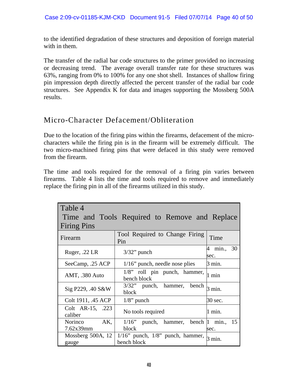to the identified degradation of these structures and deposition of foreign material with in them.

The transfer of the radial bar code structures to the primer provided no increasing or decreasing trend. The average overall transfer rate for these structures was 63%, ranging from 0% to 100% for any one shot shell. Instances of shallow firing pin impression depth directly affected the percent transfer of the radial bar code structures. See Appendix K for data and images supporting the Mossberg 500A results.

## Micro-Character Defacement/Obliteration

Due to the location of the firing pins within the firearms, defacement of the microcharacters while the firing pin is in the firearm will be extremely difficult. The two micro-machined firing pins that were defaced in this study were removed from the firearm.

The time and tools required for the removal of a firing pin varies between firearms. Table 4 lists the time and tools required to remove and immediately replace the firing pin in all of the firearms utilized in this study.

| Table 4<br><b>Firing Pins</b> | Time and Tools Required to Remove and Replace         |                       |  |
|-------------------------------|-------------------------------------------------------|-----------------------|--|
| Firearm                       | Tool Required to Change Firing<br>Pin                 | Time                  |  |
| Ruger, .22 LR                 | $3/32$ " punch                                        | min., 30<br>4<br>sec. |  |
| SeeCamp, .25 ACP              | $1/16$ " punch, needle nose plies                     | 3 min.                |  |
| AMT, .380 Auto                | $1/8$ " roll pin punch, hammer,<br>bench block        | 1 min                 |  |
| Sig P229, .40 S&W             | 3/32" punch, hammer, bench<br>block                   | 3 min.                |  |
| Colt 1911, .45 ACP            | $1/8$ " punch                                         | 30 sec.               |  |
| Colt AR-15, .223<br>caliber   | No tools required                                     | 1 min.                |  |
| AK,<br>Norinco<br>7.62x39mm   | $1/16$ " punch, hammer, bench  1<br>block             | min., 15<br>sec.      |  |
| Mossberg 500A, 12<br>gauge    | $1/16$ " punch, $1/8$ " punch, hammer,<br>bench block | $3 \text{ min.}$      |  |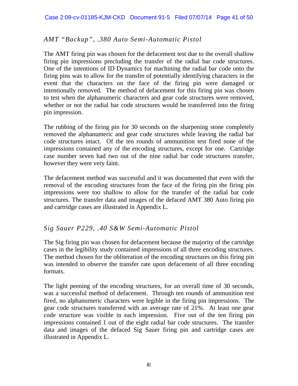#### *AMT "Backup", .380 Auto Semi-Automatic Pistol*

The AMT firing pin was chosen for the defacement test due to the overall shallow firing pin impressions precluding the transfer of the radial bar code structures. One of the intentions of ID Dynamics for machining the radial bar code onto the firing pins was to allow for the transfer of potentially identifying characters in the event that the characters on the face of the firing pin were damaged or intentionally removed. The method of defacement for this firing pin was chosen to test when the alphanumeric characters and gear code structures were removed, whether or not the radial bar code structures would be transferred into the firing pin impression.

The rubbing of the firing pin for 30 seconds on the sharpening stone completely removed the alphanumeric and gear code structures while leaving the radial bar code structures intact. Of the ten rounds of ammunition test fired none of the impressions contained any of the encoding structures, except for one. Cartridge case number seven had two out of the nine radial bar code structures transfer, however they were very faint.

The defacement method was successful and it was documented that even with the removal of the encoding structures from the face of the firing pin the firing pin impressions were too shallow to allow for the transfer of the radial bar code structures. The transfer data and images of the defaced AMT 380 Auto firing pin and cartridge cases are illustrated in Appendix L.

#### *Sig Sauer P229, .40 S&W Semi-Automatic Pistol*

The Sig firing pin was chosen for defacement because the majority of the cartridge cases in the legibility study contained impressions of all three encoding structures. The method chosen for the obliteration of the encoding structures on this firing pin was intended to observe the transfer rate upon defacement of all three encoding formats.

The light peening of the encoding structures, for an overall time of 30 seconds, was a successful method of defacement. Through ten rounds of ammunition test fired, no alphanumeric characters were legible in the firing pin impressions. The gear code structures transferred with an average rate of 21%. At least one gear code structure was visible in each impression. Five out of the ten firing pin impressions contained 1 out of the eight radial bar code structures. The transfer data and images of the defaced Sig Sauer firing pin and cartridge cases are illustrated in Appendix L.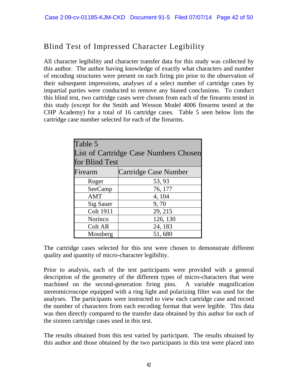## Blind Test of Impressed Character Legibility

All character legibility and character transfer data for this study was collected by this author. The author having knowledge of exactly what characters and number of encoding structures were present on each firing pin prior to the observation of their subsequent impressions, analyses of a select number of cartridge cases by impartial parties were conducted to remove any biased conclusions. To conduct this blind test, two cartridge cases were chosen from each of the firearms tested in this study (except for the Smith and Wesson Model 4006 firearms tested at the CHP Academy) for a total of 16 cartridge cases. Table 5 seen below lists the cartridge case number selected for each of the firearms.

| Table 5<br><b>List of Cartridge Case Numbers Chosen</b><br>for Blind Test |                       |  |
|---------------------------------------------------------------------------|-----------------------|--|
| Firearm                                                                   | Cartridge Case Number |  |
| Ruger                                                                     | 53, 93                |  |
| SeeCamp                                                                   | 76, 177               |  |
| <b>AMT</b>                                                                | 4, 104                |  |
| Sig Sauer                                                                 | 9,70                  |  |
| <b>Colt 1911</b>                                                          | 29, 215               |  |
| Norinco                                                                   | 126, 130              |  |
| Colt AR                                                                   | 24, 183               |  |
| Mossberg                                                                  | 51,680                |  |

The cartridge cases selected for this test were chosen to demonstrate different quality and quantity of micro-character legibility.

Prior to analysis, each of the test participants were provided with a general description of the geometry of the different types of micro-characters that were machined on the second-generation firing pins. A variable magnification stereomicroscope equipped with a ring light and polarizing filter was used for the analyses. The participants were instructed to view each cartridge case and record the number of characters from each encoding format that were legible. This data was then directly compared to the transfer data obtained by this author for each of the sixteen cartridge cases used in this test.

The results obtained from this test varied by participant. The results obtained by this author and those obtained by the two participants in this test were placed into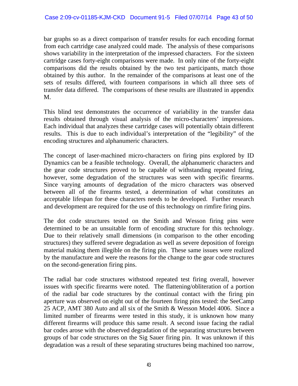bar graphs so as a direct comparison of transfer results for each encoding format from each cartridge case analyzed could made. The analysis of these comparisons shows variability in the interpretation of the impressed characters. For the sixteen cartridge cases forty-eight comparisons were made. In only nine of the forty-eight comparisons did the results obtained by the two test participants, match those obtained by this author. In the remainder of the comparisons at least one of the sets of results differed, with fourteen comparisons in which all three sets of transfer data differed. The comparisons of these results are illustrated in appendix M.

This blind test demonstrates the occurrence of variability in the transfer data results obtained through visual analysis of the micro-characters' impressions. Each individual that analyzes these cartridge cases will potentially obtain different results. This is due to each individual's interpretation of the "legibility" of the encoding structures and alphanumeric characters.

The concept of laser-machined micro-characters on firing pins explored by ID Dynamics can be a feasible technology. Overall, the alphanumeric characters and the gear code structures proved to be capable of withstanding repeated firing, however, some degradation of the structures was seen with specific firearms. Since varying amounts of degradation of the micro characters was observed between all of the firearms tested, a determination of what constitutes an acceptable lifespan for these characters needs to be developed. Further research and development are required for the use of this technology on rimfire firing pins.

The dot code structures tested on the Smith and Wesson firing pins were determined to be an unsuitable form of encoding structure for this technology. Due to their relatively small dimensions (in comparison to the other encoding structures) they suffered severe degradation as well as severe deposition of foreign material making them illegible on the firing pin. These same issues were realized by the manufacture and were the reasons for the change to the gear code structures on the second-generation firing pins.

The radial bar code structures withstood repeated test firing overall, however issues with specific firearms were noted. The flattening/obliteration of a portion of the radial bar code structures by the continual contact with the firing pin aperture was observed on eight out of the fourteen firing pins tested: the SeeCamp 25 ACP, AMT 380 Auto and all six of the Smith & Wesson Model 4006. Since a limited number of firearms were tested in this study, it is unknown how many different firearms will produce this same result. A second issue facing the radial bar codes arose with the observed degradation of the separating structures between groups of bar code structures on the Sig Sauer firing pin. It was unknown if this degradation was a result of these separating structures being machined too narrow,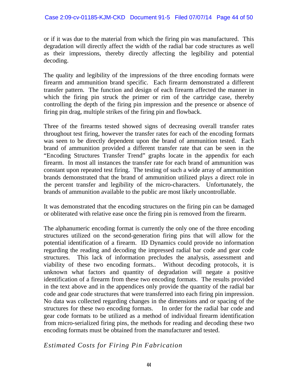or if it was due to the material from which the firing pin was manufactured. This degradation will directly affect the width of the radial bar code structures as well as their impressions, thereby directly affecting the legibility and potential decoding.

The quality and legibility of the impressions of the three encoding formats were firearm and ammunition brand specific. Each firearm demonstrated a different transfer pattern. The function and design of each firearm affected the manner in which the firing pin struck the primer or rim of the cartridge case, thereby controlling the depth of the firing pin impression and the presence or absence of firing pin drag, multiple strikes of the firing pin and flowback.

Three of the firearms tested showed signs of decreasing overall transfer rates throughout test firing, however the transfer rates for each of the encoding formats was seen to be directly dependent upon the brand of ammunition tested. Each brand of ammunition provided a different transfer rate that can be seen in the "Encoding Structures Transfer Trend" graphs locate in the appendix for each firearm. In most all instances the transfer rate for each brand of ammunition was constant upon repeated test firing. The testing of such a wide array of ammunition brands demonstrated that the brand of ammunition utilized plays a direct role in the percent transfer and legibility of the micro-characters. Unfortunately, the brands of ammunition available to the public are most likely uncontrollable.

It was demonstrated that the encoding structures on the firing pin can be damaged or obliterated with relative ease once the firing pin is removed from the firearm.

The alphanumeric encoding format is currently the only one of the three encoding structures utilized on the second-generation firing pins that will allow for the potential identification of a firearm. ID Dynamics could provide no information regarding the reading and decoding the impressed radial bar code and gear code structures. This lack of information precludes the analysis, assessment and viability of these two encoding formats.. Without decoding protocols, it is unknown what factors and quantity of degradation will negate a positive identification of a firearm from these two encoding formats. The results provided in the text above and in the appendices only provide the quantity of the radial bar code and gear code structures that were transferred into each firing pin impression. No data was collected regarding changes in the dimensions and or spacing of the structures for these two encoding formats. In order for the radial bar code and gear code formats to be utilized as a method of individual firearm identification from micro-serialized firing pins, the methods for reading and decoding these two encoding formats must be obtained from the manufacturer and tested.

#### *Estimated Costs for Firing Pin Fabrication*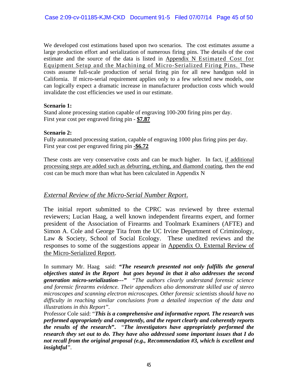We developed cost estimations based upon two scenarios. The cost estimates assume a large production effort and serialization of numerous firing pins. The details of the cost estimate and the source of the data is listed in Appendix N Estimated Cost for Equipment Setup and the Machining of Micro-Serialized Firing Pins. These costs assume full-scale production of serial firing pin for all new handgun sold in California. If micro-serial requirement applies only to a few selected new models, one can logically expect a dramatic increase in manufacturer production costs which would invalidate the cost efficiencies we used in our estimate.

#### **Scenario 1:**

Stand alone processing station capable of engraving 100-200 firing pins per day. First year cost per engraved firing pin - **\$7.87**

#### **Scenario 2:**

Fully automated processing station, capable of engraving 1000 plus firing pins per day. First year cost per engraved firing pin **-\$6.72**

These costs are very conservative costs and can be much higher. In fact, if additional processing steps are added such as deburring, etching, and diamond coating, then the end cost can be much more than what has been calculated in Appendix N

#### *External Review of the Micro-Serial Number Report*.

The initial report submitted to the CPRC was reviewed by three external reviewers; Lucian Haag, a well known independent firearms expert, and former president of the Association of Firearms and Toolmark Examiners (AFTE) and Simon A. Cole and George Tita from the UC Irvine Department of Criminology, Law & Society, School of Social Ecology. These unedited reviews and the responses to some of the suggestions appear in Appendix O. External Review of the Micro-Serialized Report.

In summary Mr. Haag said: *"The research presented not only fulfills the general objectives stated in the Report but goes beyond in that it also addresses the second generation micro-serialization---" "The authors clearly understand forensic science and forensic firearms evidence. Their appendices also demonstrate skilled use of stereo microscopes and scanning electron microscopes. Other forensic scientists should have no difficulty in reaching similar conclusions from a detailed inspection of the data and illustrations in this Report".* 

Professor Cole said: "*This is a comprehensive and informative report. The research was performed appropriately and competently, and the report clearly and coherently reports the results of the research***".** "*The investigators have appropriately performed the research they set out to do. They have also addressed some important issues that I do not recall from the original proposal (e.g., Recommendation #3, which is excellent and insightful".*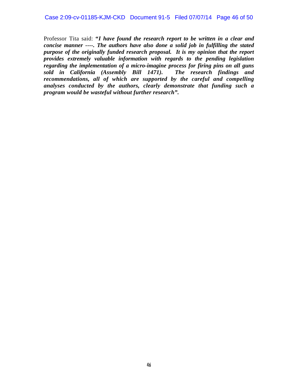Professor Tita said: **"***I have found the research report to be written in a clear and concise manner ----. The authors have also done a solid job in fulfilling the stated purpose of the originally funded research proposal. It is my opinion that the report provides extremely valuable information with regards to the pending legislation regarding the implementation of a micro-imagine process for firing pins on all guns sold in California (Assembly Bill 1471). The research findings and recommendations, all of which are supported by the careful and compelling analyses conducted by the authors, clearly demonstrate that funding such a program would be wasteful without further research".*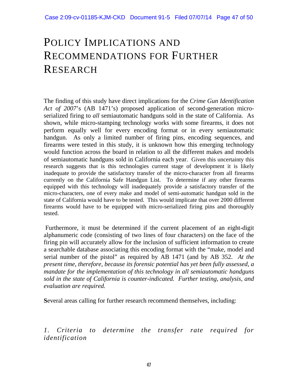## POLICY IMPLICATIONS AND RECOMMENDATIONS FOR FURTHER RESEARCH

The finding of this study have direct implications for the *Crime Gun Identification Act of 2007*'s (AB 1471's) proposed application of second-generation microserialized firing to *all* semiautomatic handguns sold in the state of California. As shown, while micro-stamping technology works with some firearms, it does not perform equally well for every encoding format or in every semiautomatic handgun. As only a limited number of firing pins, encoding sequences, and firearms were tested in this study, it is unknown how this emerging technology would function across the board in relation to all the different makes and models of semiautomatic handguns sold in California each year. Given this uncertainty this research suggests that is this technologies current stage of development it is likely inadequate to provide the satisfactory transfer of the micro-character from all firearms currently on the California Safe Handgun List. To determine if any other firearms equipped with this technology will inadequately provide a satisfactory transfer of the micro-characters, one of every make and model of semi-automatic handgun sold in the state of California would have to be tested. This would implicate that over 2000 different firearms would have to be equipped with micro-serialized firing pins and thoroughly tested.

 Furthermore, it must be determined if the current placement of an eight-digit alphanumeric code (consisting of two lines of four characters) on the face of the firing pin will accurately allow for the inclusion of sufficient information to create a searchable database associating this encoding format with the "make, model and serial number of the pistol" as required by AB 1471 (and by AB 352. *At the present time, therefore, because its forensic potential has yet been fully assessed, a mandate for the implementation of this technology in all semiautomatic handguns sold in the state of California is counter-indicated. Further testing, analysis, and evaluation are required.* 

**S**everal areas calling for further research recommend themselves, including:

*1. Criteria to determine the transfer rate required for identification*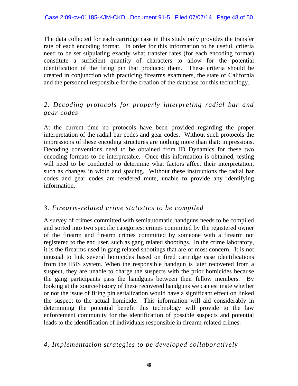The data collected for each cartridge case in this study only provides the transfer rate of each encoding format. In order for this information to be useful, criteria need to be set stipulating exactly what transfer rates (for each encoding format) constitute a sufficient quantity of characters to allow for the potential identification of the firing pin that produced them. These criteria should be created in conjunction with practicing firearms examiners, the state of California and the personnel responsible for the creation of the database for this technology.

#### *2. Decoding protocols for properly interpreting radial bar and gear codes*

At the current time no protocols have been provided regarding the proper interpretation of the radial bar codes and gear codes. Without such protocols the impressions of these encoding structures are nothing more than that: impressions. Decoding conventions need to be obtained from ID Dynamics for these two encoding formats to be interpretable. Once this information is obtained, testing will need to be conducted to determine what factors affect their interpretation, such as changes in width and spacing. Without these instructions the radial bar codes and gear codes are rendered mute, unable to provide any identifying information.

#### *3. Firearm-related crime statistics to be compiled*

A survey of crimes committed with semiautomatic handguns needs to be compiled and sorted into two specific categories: crimes committed by the registered owner of the firearm and firearm crimes committed by someone with a firearm not registered to the end user, such as gang related shootings. In the crime laboratory, it is the firearms used in gang related shootings that are of most concern. It is not unusual to link several homicides based on fired cartridge case identifications from the IBIS system. When the responsible handgun is later recovered from a suspect, they are unable to charge the suspects with the prior homicides because the gang participants pass the handguns between their fellow members. By looking at the source/history of these recovered handguns we can estimate whether or not the issue of firing pin serialization would have a significant effect on linked the suspect to the actual homicide. This information will aid considerably in determining the potential benefit this technology will provide to the law enforcement community for the identification of possible suspects and potential leads to the identification of individuals responsible in firearm-related crimes.

#### *4. Implementation strategies to be developed collaboratively*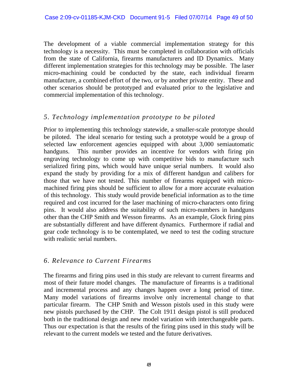The development of a viable commercial implementation strategy for this technology is a necessity. This must be completed in collaboration with officials from the state of California, firearms manufacturers and ID Dynamics. Many different implementation strategies for this technology may be possible. The laser micro-machining could be conducted by the state, each individual firearm manufacture, a combined effort of the two, or by another private entity. These and other scenarios should be prototyped and evaluated prior to the legislative and commercial implementation of this technology.

#### *5. Technology implementation prototype to be piloted*

Prior to implementing this technology statewide, a smaller-scale prototype should be piloted. The ideal scenario for testing such a prototype would be a group of selected law enforcement agencies equipped with about 3,000 semiautomatic handguns. This number provides an incentive for vendors with firing pin engraving technology to come up with competitive bids to manufacture such serialized firing pins, which would have unique serial numbers. It would also expand the study by providing for a mix of different handgun and calibers for those that we have not tested. This number of firearms equipped with micromachined firing pins should be sufficient to allow for a more accurate evaluation of this technology. This study would provide beneficial information as to the time required and cost incurred for the laser machining of micro-characters onto firing pins. It would also address the suitability of such micro-numbers in handguns other than the CHP Smith and Wesson firearms. As an example, Glock firing pins are substantially different and have different dynamics. Furthermore if radial and gear code technology is to be contemplated, we need to test the coding structure with realistic serial numbers.

#### *6. Relevance to Current Firearms*

The firearms and firing pins used in this study are relevant to current firearms and most of their future model changes. The manufacture of firearms is a traditional and incremental process and any changes happen over a long period of time. Many model variations of firearms involve only incremental change to that particular firearm. The CHP Smith and Wesson pistols used in this study were new pistols purchased by the CHP. The Colt 1911 design pistol is still produced both in the traditional design and new model variation with interchangeable parts. Thus our expectation is that the results of the firing pins used in this study will be relevant to the current models we tested and the future derivatives.